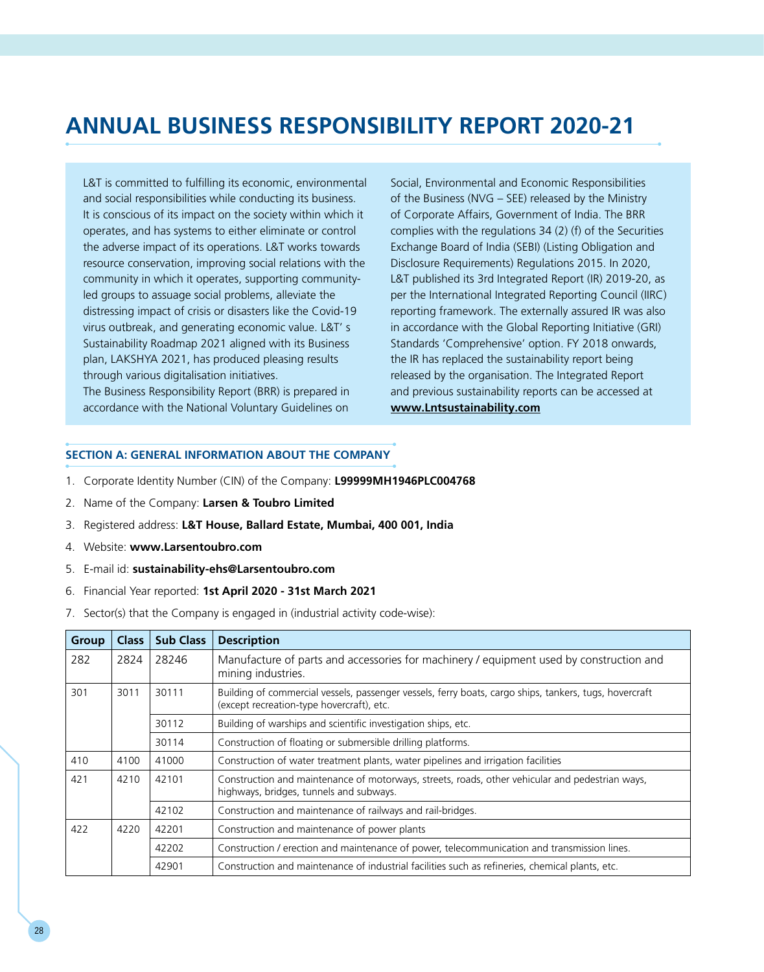# **Annual Business Responsibility Report 2020-21**

L&T is committed to fulfilling its economic, environmental and social responsibilities while conducting its business. It is conscious of its impact on the society within which it operates, and has systems to either eliminate or control the adverse impact of its operations. L&T works towards resource conservation, improving social relations with the community in which it operates, supporting communityled groups to assuage social problems, alleviate the distressing impact of crisis or disasters like the Covid-19 virus outbreak, and generating economic value. L&T' s Sustainability Roadmap 2021 aligned with its Business plan, LAKSHYA 2021, has produced pleasing results through various digitalisation initiatives.

The Business Responsibility Report (BRR) is prepared in accordance with the National Voluntary Guidelines on Social, Environmental and Economic Responsibilities of the Business (NVG – SEE) released by the Ministry of Corporate Affairs, Government of India. The BRR complies with the regulations 34 (2) (f) of the Securities Exchange Board of India (SEBI) (Listing Obligation and Disclosure Requirements) Regulations 2015. In 2020, L&T published its 3rd Integrated Report (IR) 2019-20, as per the International Integrated Reporting Council (IIRC) reporting framework. The externally assured IR was also in accordance with the Global Reporting Initiative (GRI) Standards 'Comprehensive' option. FY 2018 onwards, the IR has replaced the sustainability report being released by the organisation. The Integrated Report and previous sustainability reports can be accessed at **www.Lntsustainability.com**

### **SECTION A: GENERAL INFORMATION ABOUT THE COMPANY**

- 1. Corporate Identity Number (CIN) of the Company: **L99999MH1946PLC004768**
- 2. Name of the Company: **Larsen & Toubro Limited**
- 3. Registered address: **L&T House, Ballard Estate, Mumbai, 400 001, India**
- 4. Website: **www.Larsentoubro.com**
- 5. E-mail id: **sustainability-ehs@Larsentoubro.com**
- 6. Financial Year reported: **1st April 2020 31st March 2021**
- 7. Sector(s) that the Company is engaged in (industrial activity code-wise):

| <b>Group</b> | <b>Class</b> | <b>Sub Class</b> | <b>Description</b>                                                                                                                                  |  |  |
|--------------|--------------|------------------|-----------------------------------------------------------------------------------------------------------------------------------------------------|--|--|
| 282          | 2824         | 28246            | Manufacture of parts and accessories for machinery / equipment used by construction and<br>mining industries.                                       |  |  |
| 301          | 3011         | 30111            | Building of commercial vessels, passenger vessels, ferry boats, cargo ships, tankers, tugs, hovercraft<br>(except recreation-type hovercraft), etc. |  |  |
|              |              | 30112            | Building of warships and scientific investigation ships, etc.                                                                                       |  |  |
|              |              | 30114            | Construction of floating or submersible drilling platforms.                                                                                         |  |  |
| 410          | 4100         | 41000            | Construction of water treatment plants, water pipelines and irrigation facilities                                                                   |  |  |
| 421          | 4210         | 42101            | Construction and maintenance of motorways, streets, roads, other vehicular and pedestrian ways,<br>highways, bridges, tunnels and subways.          |  |  |
|              |              | 42102            | Construction and maintenance of railways and rail-bridges.                                                                                          |  |  |
| 422          | 4220         | 42201            | Construction and maintenance of power plants                                                                                                        |  |  |
|              |              | 42202            | Construction / erection and maintenance of power, telecommunication and transmission lines.                                                         |  |  |
|              |              | 42901            | Construction and maintenance of industrial facilities such as refineries, chemical plants, etc.                                                     |  |  |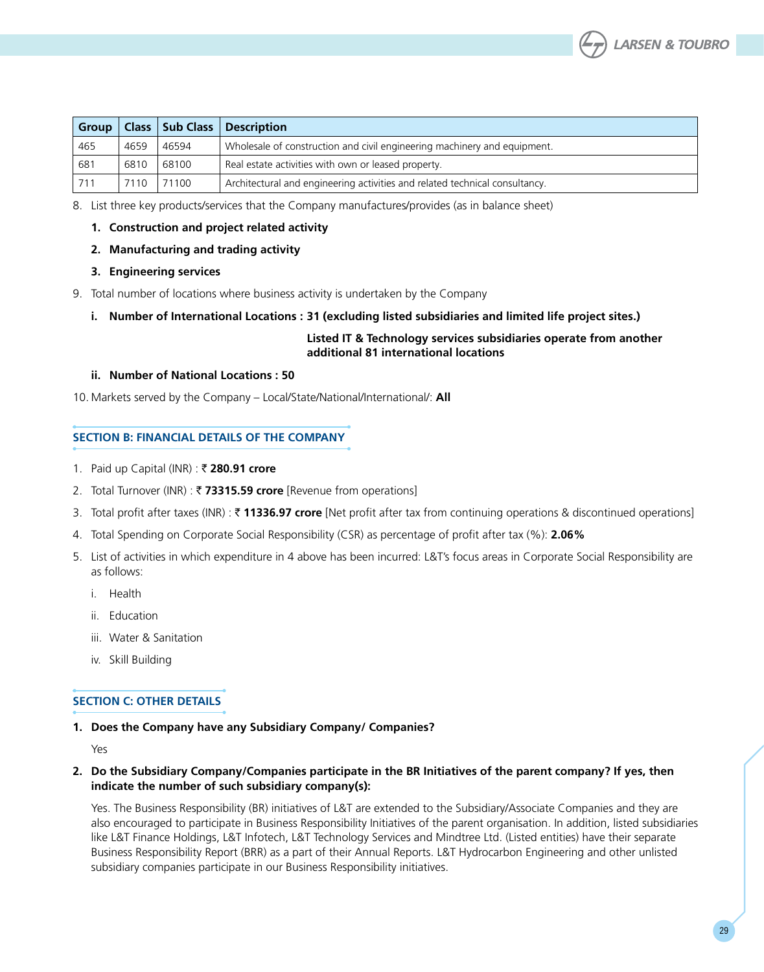

| Group / |      |       | Class   Sub Class   Description                                             |
|---------|------|-------|-----------------------------------------------------------------------------|
| 465     | 4659 | 46594 | Wholesale of construction and civil engineering machinery and equipment.    |
| 681     | 6810 | 68100 | Real estate activities with own or leased property.                         |
| 711     | 7110 | 71100 | Architectural and engineering activities and related technical consultancy. |

8. List three key products/services that the Company manufactures/provides (as in balance sheet)

### **1. Construction and project related activity**

### **2. Manufacturing and trading activity**

- **3. Engineering services**
- 9. Total number of locations where business activity is undertaken by the Company
	- **i. Number of International Locations : 31 (excluding listed subsidiaries and limited life project sites.)**

### **Listed IT & Technology services subsidiaries operate from another additional 81 international locations**

#### **ii. Number of National Locations : 50**

10. Markets served by the Company – Local/State/National/International/: **All**

#### **SECTION B: FINANCIAL DETAILS OF THE COMPANY**

- 1. Paid up Capital (INR) : ₹ 280.91 crore
- 2. Total Turnover (INR) : R **73315.59 crore** [Revenue from operations]
- 3. Total profit after taxes (INR) : R **11336.97 crore** [Net profit after tax from continuing operations & discontinued operations]
- 4. Total Spending on Corporate Social Responsibility (CSR) as percentage of profit after tax (%): **2.06%**
- 5. List of activities in which expenditure in 4 above has been incurred: L&T's focus areas in Corporate Social Responsibility are as follows:
	- i. Health
	- ii. Education
	- iii. Water & Sanitation
	- iv. Skill Building

### **Section C: Other Details**

**1. Does the Company have any Subsidiary Company/ Companies?**

Yes

2. Do the Subsidiary Company/Companies participate in the BR Initiatives of the parent company? If yes, then **indicate the number of such subsidiary company(s):** 

 Yes. The Business Responsibility (BR) initiatives of L&T are extended to the Subsidiary/Associate Companies and they are also encouraged to participate in Business Responsibility Initiatives of the parent organisation. In addition, listed subsidiaries like L&T Finance Holdings, L&T Infotech, L&T Technology Services and Mindtree Ltd. (Listed entities) have their separate Business Responsibility Report (BRR) as a part of their Annual Reports. L&T Hydrocarbon Engineering and other unlisted subsidiary companies participate in our Business Responsibility initiatives.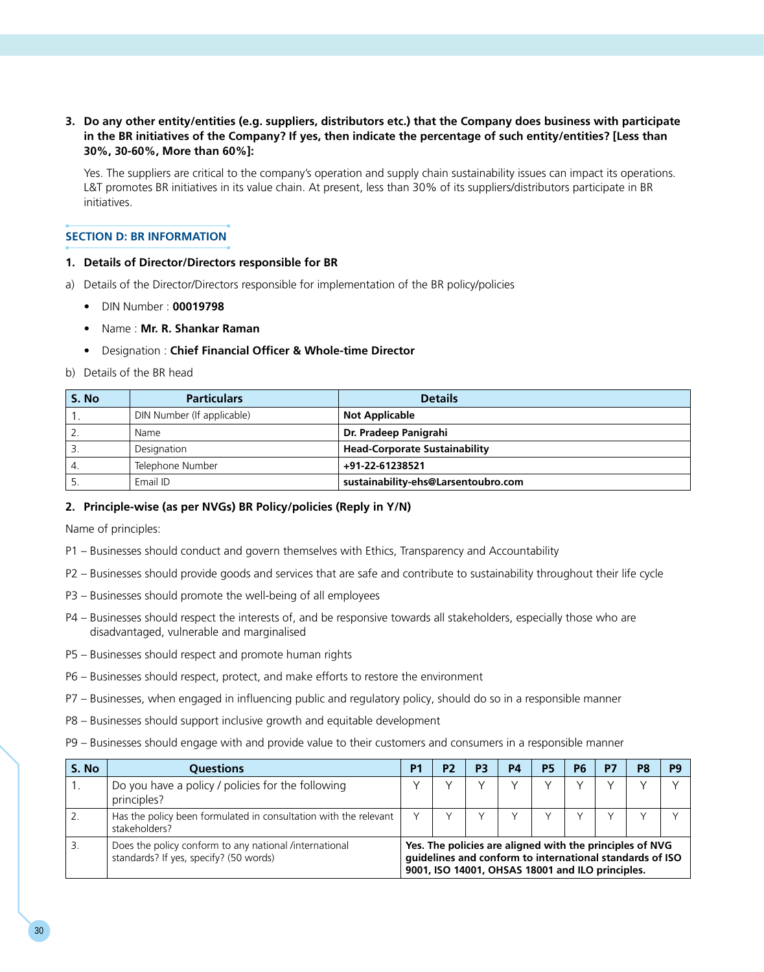### 3. Do any other entity/entities (e.g. suppliers, distributors etc.) that the Company does business with participate in the BR initiatives of the Company? If yes, then indicate the percentage of such entity/entities? [Less than **30%, 30-60%, More than 60%]:**

 Yes. The suppliers are critical to the company's operation and supply chain sustainability issues can impact its operations. L&T promotes BR initiatives in its value chain. At present, less than 30% of its suppliers/distributors participate in BR initiatives.

### **SECTION D: BR INFORMATION**

### **1. Details of Director/Directors responsible for BR**

- a) Details of the Director/Directors responsible for implementation of the BR policy/policies
	- DIN Number : **00019798**
	- Name : **Mr. R. Shankar Raman**
	- Designation : **Chief Financial Officer & Whole-time Director**
- b) Details of the BR head

| S. No | <b>Particulars</b>         | <b>Details</b>                       |
|-------|----------------------------|--------------------------------------|
|       | DIN Number (If applicable) | <b>Not Applicable</b>                |
|       | Name                       | Dr. Pradeep Panigrahi                |
|       | Designation                | <b>Head-Corporate Sustainability</b> |
| 4.    | Telephone Number           | +91-22-61238521                      |
|       | Email ID                   | sustainability-ehs@Larsentoubro.com  |

### **2. Principle-wise (as per NVGs) BR Policy/policies (Reply in Y/N)**

Name of principles:

- P1 Businesses should conduct and govern themselves with Ethics, Transparency and Accountability
- P2 Businesses should provide goods and services that are safe and contribute to sustainability throughout their life cycle
- P3 Businesses should promote the well-being of all employees
- P4 Businesses should respect the interests of, and be responsive towards all stakeholders, especially those who are disadvantaged, vulnerable and marginalised
- P5 Businesses should respect and promote human rights
- P6 Businesses should respect, protect, and make efforts to restore the environment
- P7 Businesses, when engaged in influencing public and regulatory policy, should do so in a responsible manner
- P8 Businesses should support inclusive growth and equitable development
- P9 Businesses should engage with and provide value to their customers and consumers in a responsible manner

| S. No | <b>Ouestions</b>                                                                                 | P1                                                                                                                                                                       | P <sub>2</sub> | P <sub>3</sub> | P <sub>4</sub> | <b>P5</b> | P <sub>6</sub> | D7 | P8 | pq |
|-------|--------------------------------------------------------------------------------------------------|--------------------------------------------------------------------------------------------------------------------------------------------------------------------------|----------------|----------------|----------------|-----------|----------------|----|----|----|
|       | Do you have a policy / policies for the following<br>principles?                                 |                                                                                                                                                                          |                |                |                |           |                |    |    |    |
|       | Has the policy been formulated in consultation with the relevant<br>stakeholders?                |                                                                                                                                                                          |                |                |                |           |                |    |    |    |
|       | Does the policy conform to any national /international<br>standards? If yes, specify? (50 words) | Yes. The policies are aligned with the principles of NVG<br>quidelines and conform to international standards of ISO<br>9001, ISO 14001, OHSAS 18001 and ILO principles. |                |                |                |           |                |    |    |    |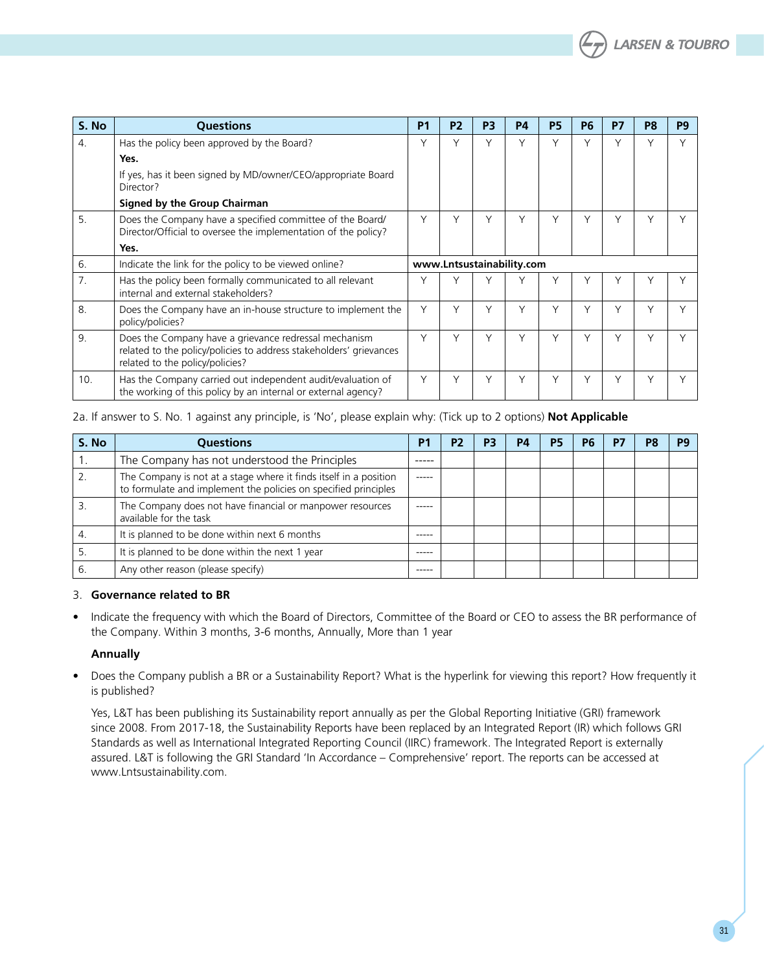| S. No            | <b>Ouestions</b>                                                                                                                                               | <b>P1</b> | P <sub>2</sub> | P <sub>3</sub> | <b>P4</b>                 | <b>P5</b> | <b>P6</b> | <b>P7</b>    | P8     | P <sub>9</sub> |
|------------------|----------------------------------------------------------------------------------------------------------------------------------------------------------------|-----------|----------------|----------------|---------------------------|-----------|-----------|--------------|--------|----------------|
| $\overline{4}$ . | Has the policy been approved by the Board?                                                                                                                     |           | Υ              | $\checkmark$   | V                         | Υ         | $\vee$    | V            | Y      | $\vee$         |
|                  | Yes.                                                                                                                                                           |           |                |                |                           |           |           |              |        |                |
|                  | If yes, has it been signed by MD/owner/CEO/appropriate Board<br>Director?                                                                                      |           |                |                |                           |           |           |              |        |                |
|                  | Signed by the Group Chairman                                                                                                                                   |           |                |                |                           |           |           |              |        |                |
| 5.               | Does the Company have a specified committee of the Board/<br>Director/Official to oversee the implementation of the policy?                                    | Υ         | Υ              | Υ              | Υ                         | Υ         | Υ         | Υ            | $\vee$ |                |
|                  | Yes.                                                                                                                                                           |           |                |                |                           |           |           |              |        |                |
| 6.               | Indicate the link for the policy to be viewed online?                                                                                                          |           |                |                | www.Lntsustainability.com |           |           |              |        |                |
| 7.               | Has the policy been formally communicated to all relevant<br>internal and external stakeholders?                                                               | Υ         | ٧              |                |                           | ٧         | ν         |              |        |                |
| 8.               | Does the Company have an in-house structure to implement the<br>policy/policies?                                                                               | Υ         | Υ              | V              | Υ                         | Υ         | Υ         | Υ            | Y      | v              |
| 9.               | Does the Company have a grievance redressal mechanism<br>related to the policy/policies to address stakeholders' grievances<br>related to the policy/policies? | Υ         | Υ              | $\checkmark$   | $\checkmark$              | ٧         | ν         | $\checkmark$ | Y      |                |
| 10.              | Has the Company carried out independent audit/evaluation of<br>the working of this policy by an internal or external agency?                                   | Υ         | Υ              | Υ              | Υ                         | Υ         | Υ         | Υ            | Υ      |                |

### 2a. If answer to S. No. 1 against any principle, is 'No', please explain why: (Tick up to 2 options) **Not Applicable**

| S. No | <b>Questions</b>                                                                                                                     | P <sub>1</sub> | P <sub>2</sub> | P <sub>3</sub> | P4 | P5 | P <sub>6</sub> | P7 | <b>P</b> |
|-------|--------------------------------------------------------------------------------------------------------------------------------------|----------------|----------------|----------------|----|----|----------------|----|----------|
|       | The Company has not understood the Principles                                                                                        | -----          |                |                |    |    |                |    |          |
|       | The Company is not at a stage where it finds itself in a position<br>to formulate and implement the policies on specified principles | $- - - - -$    |                |                |    |    |                |    |          |
|       | The Company does not have financial or manpower resources<br>available for the task                                                  | -----          |                |                |    |    |                |    |          |
| 4.    | It is planned to be done within next 6 months                                                                                        | -----          |                |                |    |    |                |    |          |
| 5.    | It is planned to be done within the next 1 year                                                                                      | -----          |                |                |    |    |                |    |          |
| 6     | Any other reason (please specify)                                                                                                    | -----          |                |                |    |    |                |    |          |

### 3. **Governance related to BR**

• Indicate the frequency with which the Board of Directors, Committee of the Board or CEO to assess the BR performance of the Company. Within 3 months, 3-6 months, Annually, More than 1 year

### **Annually**

• Does the Company publish a BR or a Sustainability Report? What is the hyperlink for viewing this report? How frequently it is published?

 Yes, L&T has been publishing its Sustainability report annually as per the Global Reporting Initiative (GRI) framework since 2008. From 2017-18, the Sustainability Reports have been replaced by an Integrated Report (IR) which follows GRI Standards as well as International Integrated Reporting Council (IIRC) framework. The Integrated Report is externally assured. L&T is following the GRI Standard 'In Accordance – Comprehensive' report. The reports can be accessed at www.Lntsustainability.com.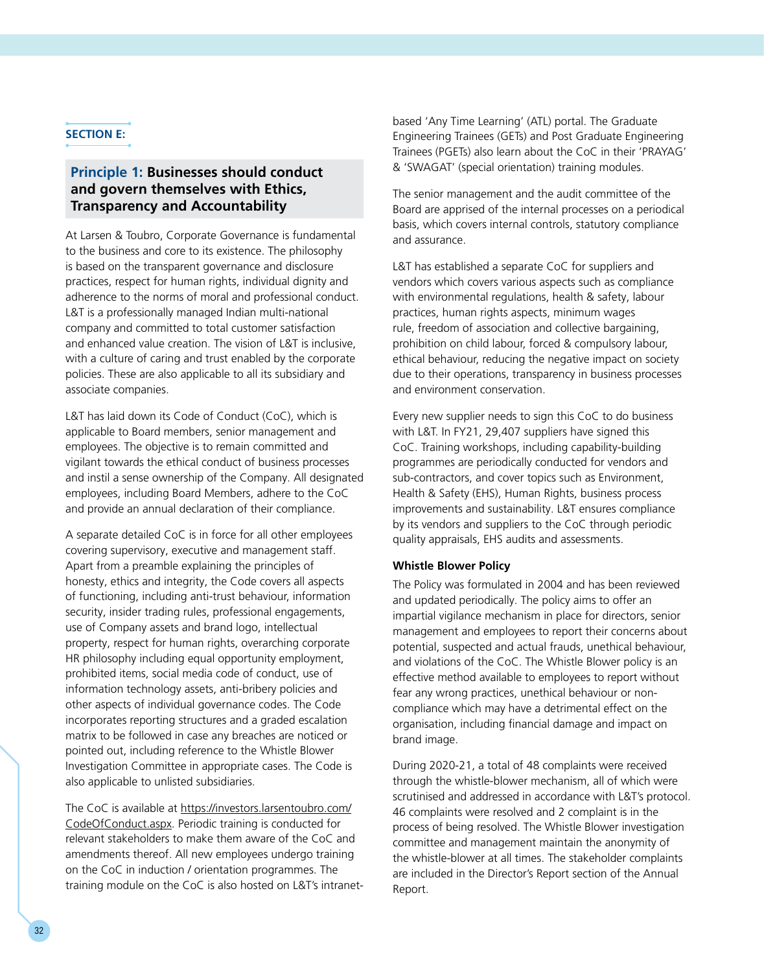# **SECTION E:**

# **Principle 1: Businesses should conduct and govern themselves with Ethics, Transparency and Accountability**

At Larsen & Toubro, Corporate Governance is fundamental to the business and core to its existence. The philosophy is based on the transparent governance and disclosure practices, respect for human rights, individual dignity and adherence to the norms of moral and professional conduct. L&T is a professionally managed Indian multi-national company and committed to total customer satisfaction and enhanced value creation. The vision of L&T is inclusive, with a culture of caring and trust enabled by the corporate policies. These are also applicable to all its subsidiary and associate companies.

L&T has laid down its Code of Conduct (CoC), which is applicable to Board members, senior management and employees. The objective is to remain committed and vigilant towards the ethical conduct of business processes and instil a sense ownership of the Company. All designated employees, including Board Members, adhere to the CoC and provide an annual declaration of their compliance.

A separate detailed CoC is in force for all other employees covering supervisory, executive and management staff. Apart from a preamble explaining the principles of honesty, ethics and integrity, the Code covers all aspects of functioning, including anti-trust behaviour, information security, insider trading rules, professional engagements, use of Company assets and brand logo, intellectual property, respect for human rights, overarching corporate HR philosophy including equal opportunity employment, prohibited items, social media code of conduct, use of information technology assets, anti-bribery policies and other aspects of individual governance codes. The Code incorporates reporting structures and a graded escalation matrix to be followed in case any breaches are noticed or pointed out, including reference to the Whistle Blower Investigation Committee in appropriate cases. The Code is also applicable to unlisted subsidiaries.

The CoC is available at [https://investors.larsentoubro.com/](https://investors.larsentoubro.com/CodeOfConduct.aspx) [CodeOfConduct.aspx.](https://investors.larsentoubro.com/CodeOfConduct.aspx) Periodic training is conducted for relevant stakeholders to make them aware of the CoC and amendments thereof. All new employees undergo training on the CoC in induction / orientation programmes. The training module on the CoC is also hosted on L&T's intranetbased 'Any Time Learning' (ATL) portal. The Graduate Engineering Trainees (GETs) and Post Graduate Engineering Trainees (PGETs) also learn about the CoC in their 'PRAYAG' & 'SWAGAT' (special orientation) training modules.

The senior management and the audit committee of the Board are apprised of the internal processes on a periodical basis, which covers internal controls, statutory compliance and assurance.

L&T has established a separate CoC for suppliers and vendors which covers various aspects such as compliance with environmental regulations, health & safety, labour practices, human rights aspects, minimum wages rule, freedom of association and collective bargaining, prohibition on child labour, forced & compulsory labour, ethical behaviour, reducing the negative impact on society due to their operations, transparency in business processes and environment conservation.

Every new supplier needs to sign this CoC to do business with L&T. In FY21, 29,407 suppliers have signed this CoC. Training workshops, including capability-building programmes are periodically conducted for vendors and sub-contractors, and cover topics such as Environment, Health & Safety (EHS), Human Rights, business process improvements and sustainability. L&T ensures compliance by its vendors and suppliers to the CoC through periodic quality appraisals, EHS audits and assessments.

### **Whistle Blower Policy**

The Policy was formulated in 2004 and has been reviewed and updated periodically. The policy aims to offer an impartial vigilance mechanism in place for directors, senior management and employees to report their concerns about potential, suspected and actual frauds, unethical behaviour, and violations of the CoC. The Whistle Blower policy is an effective method available to employees to report without fear any wrong practices, unethical behaviour or noncompliance which may have a detrimental effect on the organisation, including financial damage and impact on brand image.

During 2020-21, a total of 48 complaints were received through the whistle-blower mechanism, all of which were scrutinised and addressed in accordance with L&T's protocol. 46 complaints were resolved and 2 complaint is in the process of being resolved. The Whistle Blower investigation committee and management maintain the anonymity of the whistle-blower at all times. The stakeholder complaints are included in the Director's Report section of the Annual Report.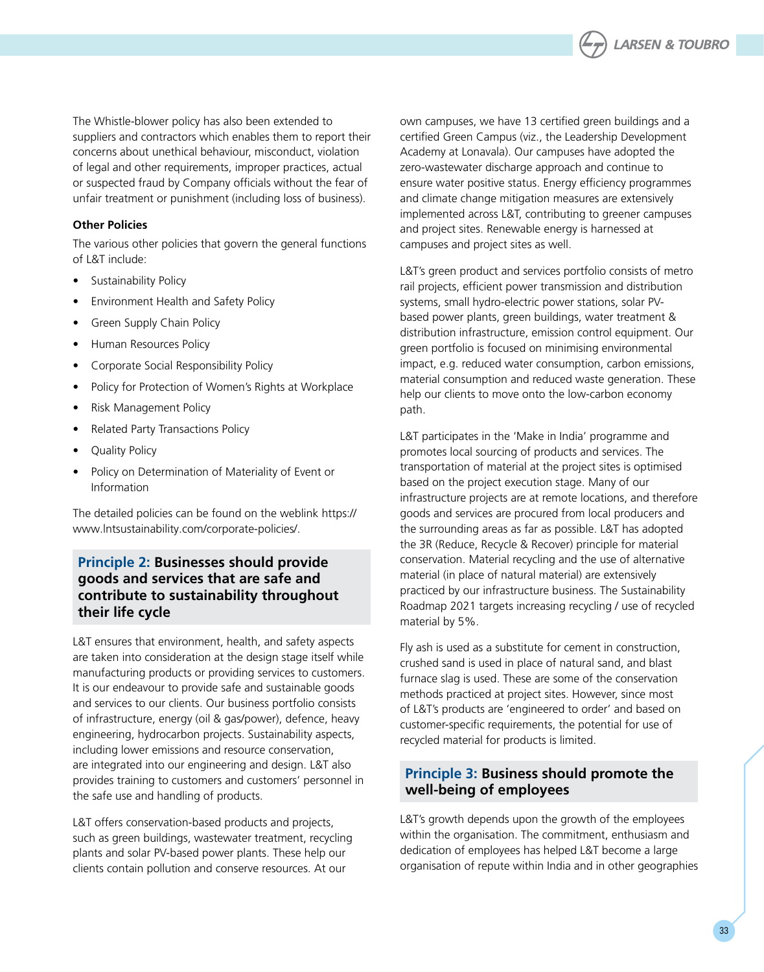

The Whistle-blower policy has also been extended to suppliers and contractors which enables them to report their concerns about unethical behaviour, misconduct, violation of legal and other requirements, improper practices, actual or suspected fraud by Company officials without the fear of unfair treatment or punishment (including loss of business).

## **Other Policies**

The various other policies that govern the general functions of L&T include:

- Sustainability Policy
- Environment Health and Safety Policy
- Green Supply Chain Policy
- Human Resources Policy
- • Corporate Social Responsibility Policy
- Policy for Protection of Women's Rights at Workplace
- **Risk Management Policy**
- Related Party Transactions Policy
- Quality Policy
- Policy on Determination of Materiality of Event or Information

The detailed policies can be found on the weblink https:// www.lntsustainability.com/corporate-policies/.

# **Principle 2: Businesses should provide goods and services that are safe and contribute to sustainability throughout their life cycle**

L&T ensures that environment, health, and safety aspects are taken into consideration at the design stage itself while manufacturing products or providing services to customers. It is our endeavour to provide safe and sustainable goods and services to our clients. Our business portfolio consists of infrastructure, energy (oil & gas/power), defence, heavy engineering, hydrocarbon projects. Sustainability aspects, including lower emissions and resource conservation, are integrated into our engineering and design. L&T also provides training to customers and customers' personnel in the safe use and handling of products.

L&T offers conservation-based products and projects, such as green buildings, wastewater treatment, recycling plants and solar PV-based power plants. These help our clients contain pollution and conserve resources. At our

own campuses, we have 13 certified green buildings and a certified Green Campus (viz., the Leadership Development Academy at Lonavala). Our campuses have adopted the zero-wastewater discharge approach and continue to ensure water positive status. Energy efficiency programmes and climate change mitigation measures are extensively implemented across L&T, contributing to greener campuses and project sites. Renewable energy is harnessed at campuses and project sites as well.

L&T's green product and services portfolio consists of metro rail projects, efficient power transmission and distribution systems, small hydro-electric power stations, solar PVbased power plants, green buildings, water treatment & distribution infrastructure, emission control equipment. Our green portfolio is focused on minimising environmental impact, e.g. reduced water consumption, carbon emissions, material consumption and reduced waste generation. These help our clients to move onto the low-carbon economy path.

L&T participates in the 'Make in India' programme and promotes local sourcing of products and services. The transportation of material at the project sites is optimised based on the project execution stage. Many of our infrastructure projects are at remote locations, and therefore goods and services are procured from local producers and the surrounding areas as far as possible. L&T has adopted the 3R (Reduce, Recycle & Recover) principle for material conservation. Material recycling and the use of alternative material (in place of natural material) are extensively practiced by our infrastructure business. The Sustainability Roadmap 2021 targets increasing recycling / use of recycled material by 5%.

Fly ash is used as a substitute for cement in construction, crushed sand is used in place of natural sand, and blast furnace slag is used. These are some of the conservation methods practiced at project sites. However, since most of L&T's products are 'engineered to order' and based on customer-specific requirements, the potential for use of recycled material for products is limited.

# **Principle 3: Business should promote the well-being of employees**

L&T's growth depends upon the growth of the employees within the organisation. The commitment, enthusiasm and dedication of employees has helped L&T become a large organisation of repute within India and in other geographies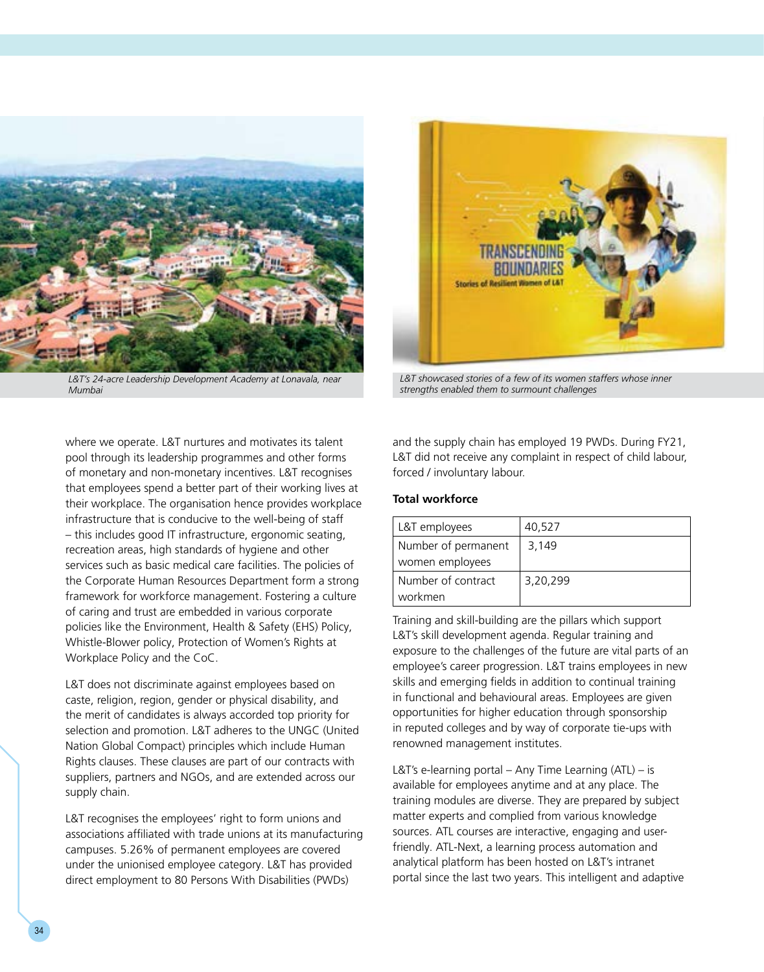

*L&T's 24-acre Leadership Development Academy at Lonavala, near Mumbai*

where we operate. L&T nurtures and motivates its talent pool through its leadership programmes and other forms of monetary and non-monetary incentives. L&T recognises that employees spend a better part of their working lives at their workplace. The organisation hence provides workplace infrastructure that is conducive to the well-being of staff – this includes good IT infrastructure, ergonomic seating, recreation areas, high standards of hygiene and other services such as basic medical care facilities. The policies of the Corporate Human Resources Department form a strong framework for workforce management. Fostering a culture of caring and trust are embedded in various corporate policies like the Environment, Health & Safety (EHS) Policy, Whistle-Blower policy, Protection of Women's Rights at Workplace Policy and the CoC.

L&T does not discriminate against employees based on caste, religion, region, gender or physical disability, and the merit of candidates is always accorded top priority for selection and promotion. L&T adheres to the UNGC (United Nation Global Compact) principles which include Human Rights clauses. These clauses are part of our contracts with suppliers, partners and NGOs, and are extended across our supply chain.

L&T recognises the employees' right to form unions and associations affiliated with trade unions at its manufacturing campuses. 5.26% of permanent employees are covered under the unionised employee category. L&T has provided direct employment to 80 Persons With Disabilities (PWDs)



L&T showcased stories of a few of its women staffers whose inner *strengths enabled them to surmount challenges*

and the supply chain has employed 19 PWDs. During FY21, L&T did not receive any complaint in respect of child labour, forced / involuntary labour.

### **Total workforce**

| L&T employees       | 40,527   |
|---------------------|----------|
| Number of permanent | 3.149    |
| women employees     |          |
| Number of contract  | 3,20,299 |
| workmen             |          |

Training and skill-building are the pillars which support L&T's skill development agenda. Regular training and exposure to the challenges of the future are vital parts of an employee's career progression. L&T trains employees in new skills and emerging fields in addition to continual training in functional and behavioural areas. Employees are given opportunities for higher education through sponsorship in reputed colleges and by way of corporate tie-ups with renowned management institutes.

L&T's e-learning portal – Any Time Learning (ATL) – is available for employees anytime and at any place. The training modules are diverse. They are prepared by subject matter experts and complied from various knowledge sources. ATL courses are interactive, engaging and userfriendly. ATL-Next, a learning process automation and analytical platform has been hosted on L&T's intranet portal since the last two years. This intelligent and adaptive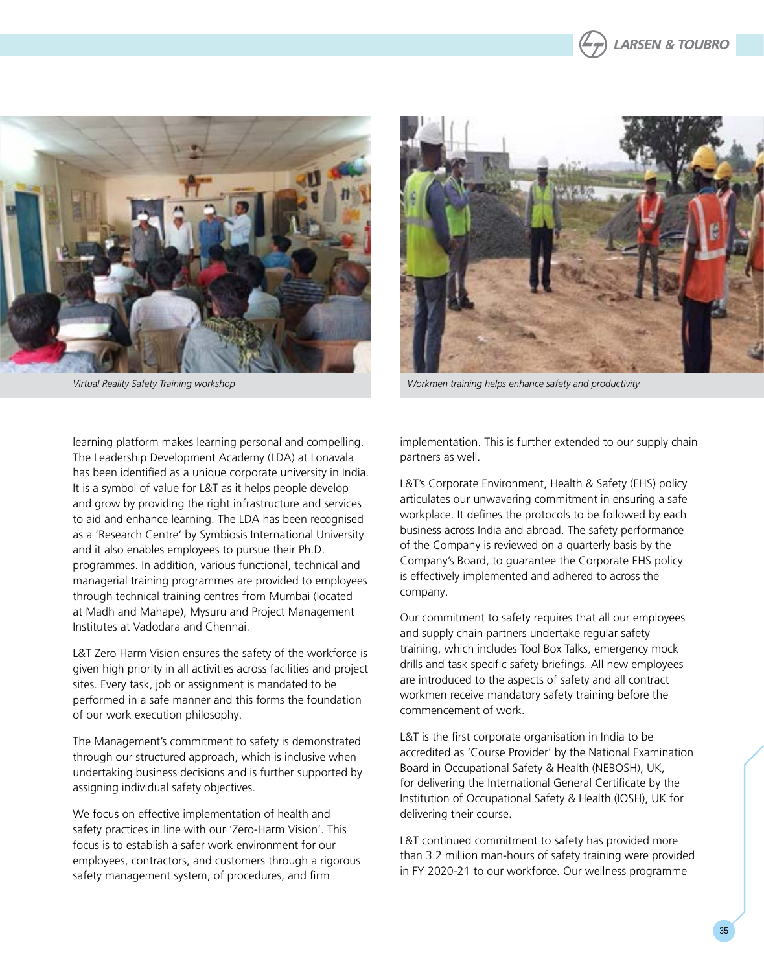



*Virtual Reality Safety Training workshop Workmen training helps enhance safety and productivity*

learning platform makes learning personal and compelling. The Leadership Development Academy (LDA) at Lonavala has been identified as a unique corporate university in India. It is a symbol of value for L&T as it helps people develop and grow by providing the right infrastructure and services to aid and enhance learning. The LDA has been recognised as a 'Research Centre' by Symbiosis International University and it also enables employees to pursue their Ph.D. programmes. In addition, various functional, technical and managerial training programmes are provided to employees through technical training centres from Mumbai (located at Madh and Mahape), Mysuru and Project Management Institutes at Vadodara and Chennai.

L&T Zero Harm Vision ensures the safety of the workforce is given high priority in all activities across facilities and project sites. Every task, job or assignment is mandated to be performed in a safe manner and this forms the foundation of our work execution philosophy.

The Management's commitment to safety is demonstrated through our structured approach, which is inclusive when undertaking business decisions and is further supported by assigning individual safety objectives.

We focus on effective implementation of health and safety practices in line with our 'Zero-Harm Vision'. This focus is to establish a safer work environment for our employees, contractors, and customers through a rigorous safety management system, of procedures, and firm

implementation. This is further extended to our supply chain partners as well.

L&T's Corporate Environment, Health & Safety (EHS) policy articulates our unwavering commitment in ensuring a safe workplace. It defines the protocols to be followed by each business across India and abroad. The safety performance of the Company is reviewed on a quarterly basis by the Company's Board, to guarantee the Corporate EHS policy is effectively implemented and adhered to across the company.

Our commitment to safety requires that all our employees and supply chain partners undertake regular safety training, which includes Tool Box Talks, emergency mock drills and task specific safety briefings. All new employees are introduced to the aspects of safety and all contract workmen receive mandatory safety training before the commencement of work.

L&T is the first corporate organisation in India to be accredited as 'Course Provider' by the National Examination Board in Occupational Safety & Health (NEBOSH), UK, for delivering the International General Certificate by the Institution of Occupational Safety & Health (IOSH), UK for delivering their course.

L&T continued commitment to safety has provided more than 3.2 million man-hours of safety training were provided in FY 2020-21 to our workforce. Our wellness programme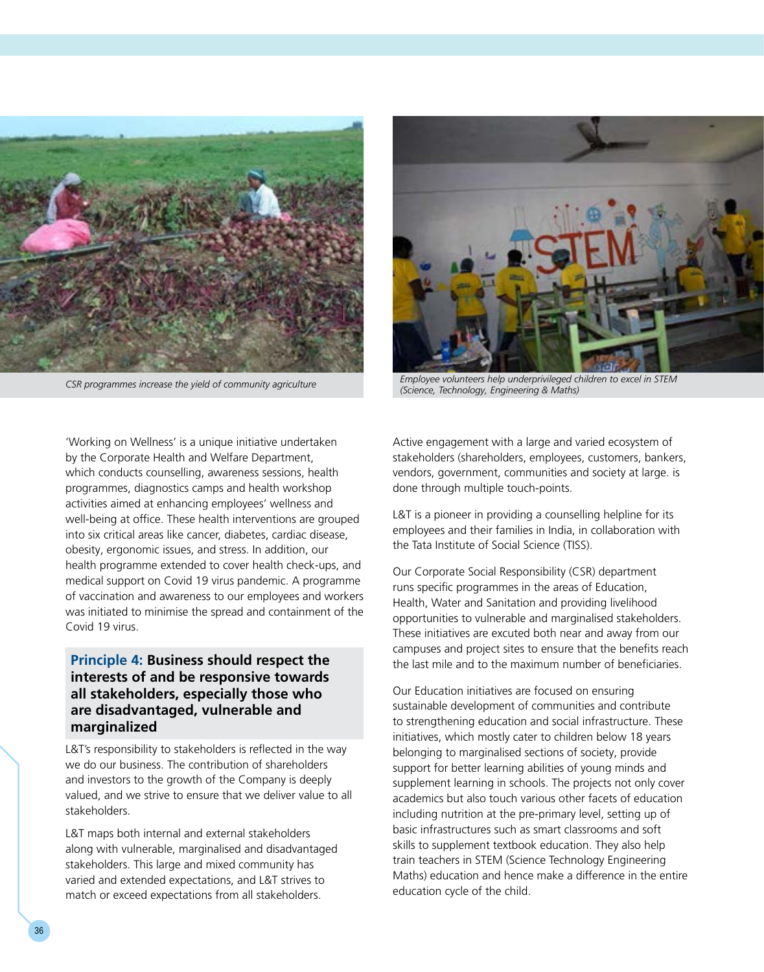



*CSR programmes increase the yield of community agriculture Employee volunteers help underprivileged children to excel in STEM (Science, Technology, Engineering & Maths)*

'Working on Wellness' is a unique initiative undertaken by the Corporate Health and Welfare Department, which conducts counselling, awareness sessions, health programmes, diagnostics camps and health workshop activities aimed at enhancing employees' wellness and well-being at office. These health interventions are grouped into six critical areas like cancer, diabetes, cardiac disease, obesity, ergonomic issues, and stress. In addition, our health programme extended to cover health check-ups, and medical support on Covid 19 virus pandemic. A programme of vaccination and awareness to our employees and workers was initiated to minimise the spread and containment of the Covid 19 virus.

# **Principle 4: Business should respect the interests of and be responsive towards all stakeholders, especially those who are disadvantaged, vulnerable and marginalized**

L&T's responsibility to stakeholders is reflected in the way we do our business. The contribution of shareholders and investors to the growth of the Company is deeply valued, and we strive to ensure that we deliver value to all stakeholders.

L&T maps both internal and external stakeholders along with vulnerable, marginalised and disadvantaged stakeholders. This large and mixed community has varied and extended expectations, and L&T strives to match or exceed expectations from all stakeholders.

Active engagement with a large and varied ecosystem of stakeholders (shareholders, employees, customers, bankers, vendors, government, communities and society at large. is done through multiple touch-points.

L&T is a pioneer in providing a counselling helpline for its employees and their families in India, in collaboration with the Tata Institute of Social Science (TISS).

Our Corporate Social Responsibility (CSR) department runs specific programmes in the areas of Education, Health, Water and Sanitation and providing livelihood opportunities to vulnerable and marginalised stakeholders. These initiatives are excuted both near and away from our campuses and project sites to ensure that the benefits reach the last mile and to the maximum number of beneficiaries.

Our Education initiatives are focused on ensuring sustainable development of communities and contribute to strengthening education and social infrastructure. These initiatives, which mostly cater to children below 18 years belonging to marginalised sections of society, provide support for better learning abilities of young minds and supplement learning in schools. The projects not only cover academics but also touch various other facets of education including nutrition at the pre-primary level, setting up of basic infrastructures such as smart classrooms and soft skills to supplement textbook education. They also help train teachers in STEM (Science Technology Engineering Maths) education and hence make a difference in the entire education cycle of the child.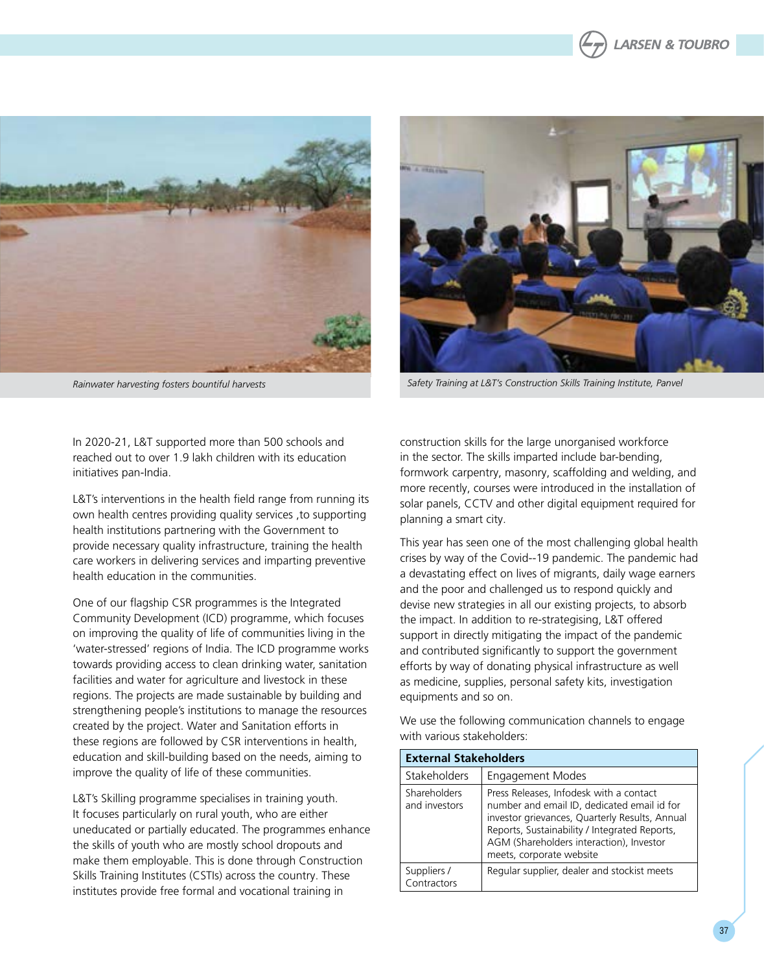





*Rainwater harvesting fosters bountiful harvests Safety Training at L&T's Construction Skills Training Institute, Panvel*

In 2020-21, L&T supported more than 500 schools and reached out to over 1.9 lakh children with its education initiatives pan-India.

L&T's interventions in the health field range from running its own health centres providing quality services ,to supporting health institutions partnering with the Government to provide necessary quality infrastructure, training the health care workers in delivering services and imparting preventive health education in the communities.

One of our flagship CSR programmes is the Integrated Community Development (ICD) programme, which focuses on improving the quality of life of communities living in the 'water-stressed' regions of India. The ICD programme works towards providing access to clean drinking water, sanitation facilities and water for agriculture and livestock in these regions. The projects are made sustainable by building and strengthening people's institutions to manage the resources created by the project. Water and Sanitation efforts in these regions are followed by CSR interventions in health, education and skill-building based on the needs, aiming to improve the quality of life of these communities.

L&T's Skilling programme specialises in training youth. It focuses particularly on rural youth, who are either uneducated or partially educated. The programmes enhance the skills of youth who are mostly school dropouts and make them employable. This is done through Construction Skills Training Institutes (CSTIs) across the country. These institutes provide free formal and vocational training in

construction skills for the large unorganised workforce in the sector. The skills imparted include bar-bending, formwork carpentry, masonry, scaffolding and welding, and more recently, courses were introduced in the installation of solar panels, CCTV and other digital equipment required for planning a smart city.

This year has seen one of the most challenging global health crises by way of the Covid--19 pandemic. The pandemic had a devastating effect on lives of migrants, daily wage earners and the poor and challenged us to respond quickly and devise new strategies in all our existing projects, to absorb the impact. In addition to re-strategising, L&T offered support in directly mitigating the impact of the pandemic and contributed significantly to support the government efforts by way of donating physical infrastructure as well as medicine, supplies, personal safety kits, investigation equipments and so on.

We use the following communication channels to engage with various stakeholders:

| <b>External Stakeholders</b>     |                                                                                                                                                                                                                                                                   |  |  |  |  |
|----------------------------------|-------------------------------------------------------------------------------------------------------------------------------------------------------------------------------------------------------------------------------------------------------------------|--|--|--|--|
| Stakeholders<br>Engagement Modes |                                                                                                                                                                                                                                                                   |  |  |  |  |
| Shareholders<br>and investors    | Press Releases, Infodesk with a contact<br>number and email ID, dedicated email id for<br>investor grievances, Quarterly Results, Annual<br>Reports, Sustainability / Integrated Reports,<br>AGM (Shareholders interaction), Investor<br>meets, corporate website |  |  |  |  |
| Suppliers /<br>Contractors       | Regular supplier, dealer and stockist meets                                                                                                                                                                                                                       |  |  |  |  |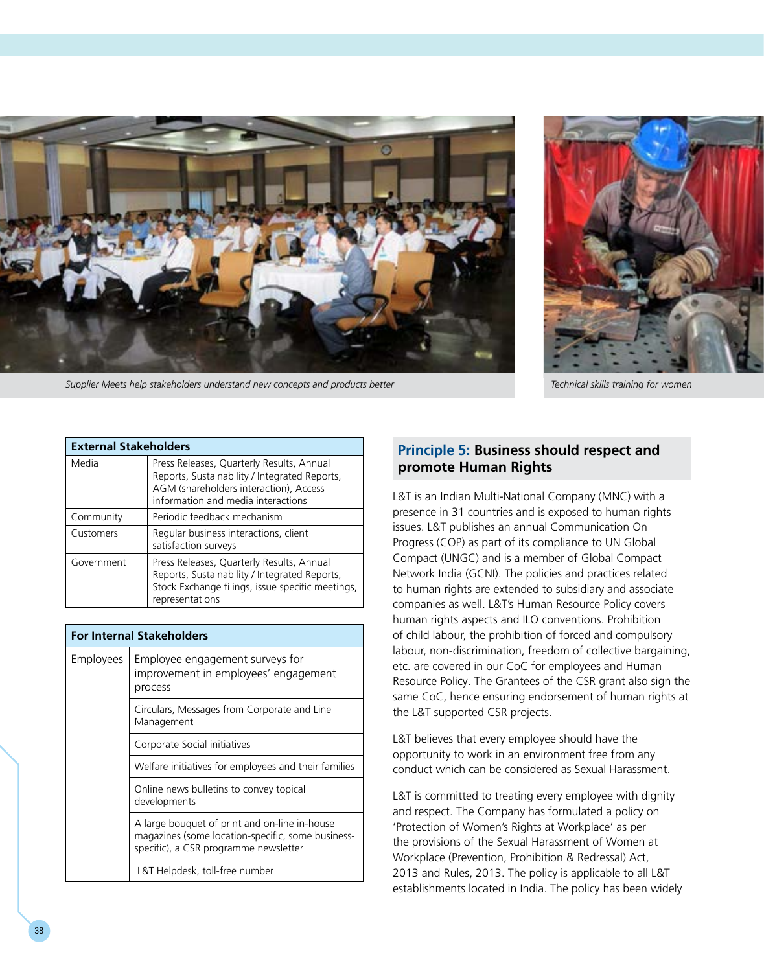

*Supplier Meets help stakeholders understand new concepts and products better Technical skills training for women*



| <b>External Stakeholders</b> |                                                                                                                                                                            |  |  |  |  |  |
|------------------------------|----------------------------------------------------------------------------------------------------------------------------------------------------------------------------|--|--|--|--|--|
| Media                        | Press Releases, Quarterly Results, Annual<br>Reports, Sustainability / Integrated Reports,<br>AGM (shareholders interaction), Access<br>information and media interactions |  |  |  |  |  |
| Community                    | Periodic feedback mechanism                                                                                                                                                |  |  |  |  |  |
| Customers                    | Regular business interactions, client<br>satisfaction surveys                                                                                                              |  |  |  |  |  |
| Government                   | Press Releases, Quarterly Results, Annual<br>Reports, Sustainability / Integrated Reports,<br>Stock Exchange filings, issue specific meetings,<br>representations          |  |  |  |  |  |

| <b>For Internal Stakeholders</b> |                                                                                                                                             |  |  |  |  |  |
|----------------------------------|---------------------------------------------------------------------------------------------------------------------------------------------|--|--|--|--|--|
| Employees                        | Employee engagement surveys for<br>improvement in employees' engagement<br>process                                                          |  |  |  |  |  |
|                                  | Circulars, Messages from Corporate and Line<br>Management                                                                                   |  |  |  |  |  |
|                                  | Corporate Social initiatives                                                                                                                |  |  |  |  |  |
|                                  | Welfare initiatives for employees and their families                                                                                        |  |  |  |  |  |
|                                  | Online news bulletins to convey topical<br>developments                                                                                     |  |  |  |  |  |
|                                  | A large bouquet of print and on-line in-house<br>magazines (some location-specific, some business-<br>specific), a CSR programme newsletter |  |  |  |  |  |
|                                  | L&T Helpdesk, toll-free number                                                                                                              |  |  |  |  |  |

# **Principle 5: Business should respect and promote Human Rights**

L&T is an Indian Multi-National Company (MNC) with a presence in 31 countries and is exposed to human rights issues. L&T publishes an annual Communication On Progress (COP) as part of its compliance to UN Global Compact (UNGC) and is a member of Global Compact Network India (GCNI). The policies and practices related to human rights are extended to subsidiary and associate companies as well. L&T's Human Resource Policy covers human rights aspects and ILO conventions. Prohibition of child labour, the prohibition of forced and compulsory labour, non-discrimination, freedom of collective bargaining, etc. are covered in our CoC for employees and Human Resource Policy. The Grantees of the CSR grant also sign the same CoC, hence ensuring endorsement of human rights at the L&T supported CSR projects.

L&T believes that every employee should have the opportunity to work in an environment free from any conduct which can be considered as Sexual Harassment.

L&T is committed to treating every employee with dignity and respect. The Company has formulated a policy on 'Protection of Women's Rights at Workplace' as per the provisions of the Sexual Harassment of Women at Workplace (Prevention, Prohibition & Redressal) Act, 2013 and Rules, 2013. The policy is applicable to all L&T establishments located in India. The policy has been widely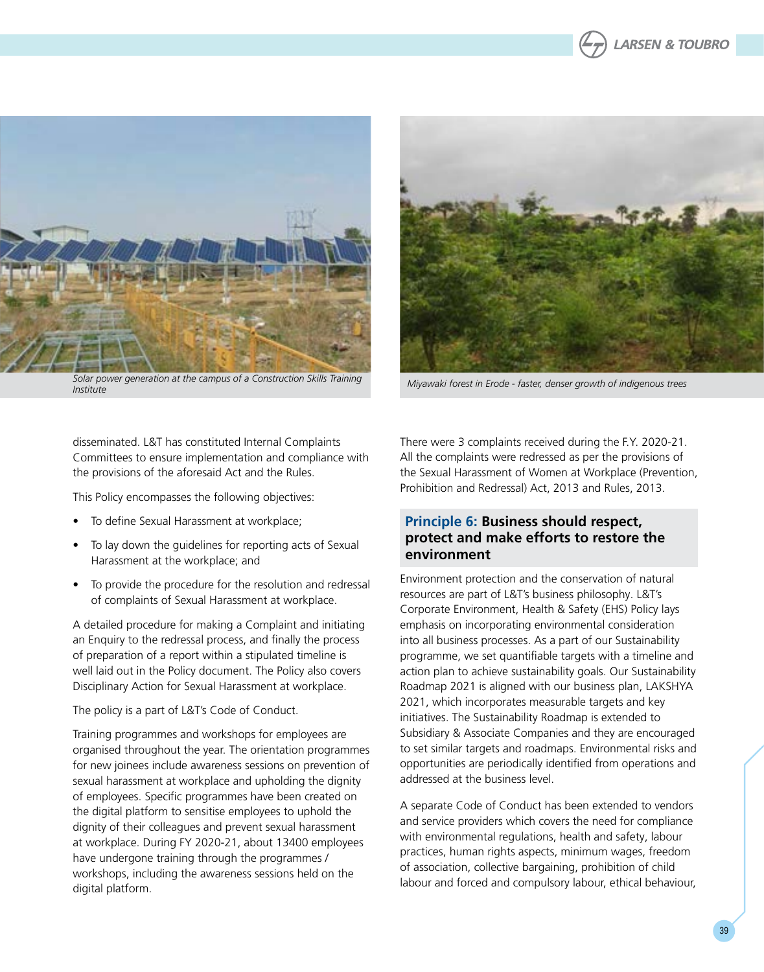



*Solar power generation at the campus of a Construction Skills Training* 



*Institute Miyawaki forest in Erode - faster, denser growth of indigenous trees*

disseminated. L&T has constituted Internal Complaints Committees to ensure implementation and compliance with the provisions of the aforesaid Act and the Rules.

This Policy encompasses the following objectives:

- To define Sexual Harassment at workplace;
- To lay down the guidelines for reporting acts of Sexual Harassment at the workplace; and
- To provide the procedure for the resolution and redressal of complaints of Sexual Harassment at workplace.

A detailed procedure for making a Complaint and initiating an Enquiry to the redressal process, and finally the process of preparation of a report within a stipulated timeline is well laid out in the Policy document. The Policy also covers Disciplinary Action for Sexual Harassment at workplace.

The policy is a part of L&T's Code of Conduct.

Training programmes and workshops for employees are organised throughout the year. The orientation programmes for new joinees include awareness sessions on prevention of sexual harassment at workplace and upholding the dignity of employees. Specific programmes have been created on the digital platform to sensitise employees to uphold the dignity of their colleagues and prevent sexual harassment at workplace. During FY 2020-21, about 13400 employees have undergone training through the programmes / workshops, including the awareness sessions held on the digital platform.

There were 3 complaints received during the F.Y. 2020-21. All the complaints were redressed as per the provisions of the Sexual Harassment of Women at Workplace (Prevention, Prohibition and Redressal) Act, 2013 and Rules, 2013.

# **Principle 6: Business should respect, protect and make efforts to restore the environment**

Environment protection and the conservation of natural resources are part of L&T's business philosophy. L&T's Corporate Environment, Health & Safety (EHS) Policy lays emphasis on incorporating environmental consideration into all business processes. As a part of our Sustainability programme, we set quantifiable targets with a timeline and action plan to achieve sustainability goals. Our Sustainability Roadmap 2021 is aligned with our business plan, LAKSHYA 2021, which incorporates measurable targets and key initiatives. The Sustainability Roadmap is extended to Subsidiary & Associate Companies and they are encouraged to set similar targets and roadmaps. Environmental risks and opportunities are periodically identified from operations and addressed at the business level.

A separate Code of Conduct has been extended to vendors and service providers which covers the need for compliance with environmental regulations, health and safety, labour practices, human rights aspects, minimum wages, freedom of association, collective bargaining, prohibition of child labour and forced and compulsory labour, ethical behaviour,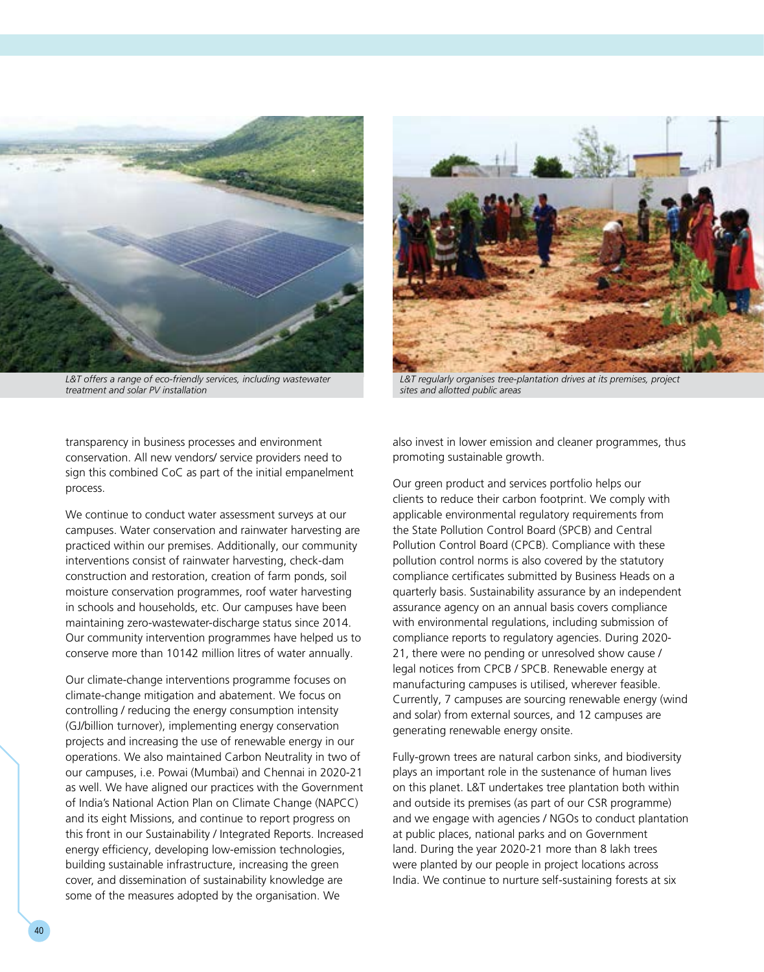

*L&T offers a range of eco-friendly services, including wastewater treatment and solar PV installation*

transparency in business processes and environment conservation. All new vendors/ service providers need to sign this combined CoC as part of the initial empanelment process.

We continue to conduct water assessment surveys at our campuses. Water conservation and rainwater harvesting are practiced within our premises. Additionally, our community interventions consist of rainwater harvesting, check-dam construction and restoration, creation of farm ponds, soil moisture conservation programmes, roof water harvesting in schools and households, etc. Our campuses have been maintaining zero-wastewater-discharge status since 2014. Our community intervention programmes have helped us to conserve more than 10142 million litres of water annually.

Our climate-change interventions programme focuses on climate-change mitigation and abatement. We focus on controlling / reducing the energy consumption intensity (GJ/billion turnover), implementing energy conservation projects and increasing the use of renewable energy in our operations. We also maintained Carbon Neutrality in two of our campuses, i.e. Powai (Mumbai) and Chennai in 2020-21 as well. We have aligned our practices with the Government of India's National Action Plan on Climate Change (NAPCC) and its eight Missions, and continue to report progress on this front in our Sustainability / Integrated Reports. Increased energy efficiency, developing low-emission technologies, building sustainable infrastructure, increasing the green cover, and dissemination of sustainability knowledge are some of the measures adopted by the organisation. We



*L&T regularly organises tree-plantation drives at its premises, project sites and allotted public areas*

also invest in lower emission and cleaner programmes, thus promoting sustainable growth.

Our green product and services portfolio helps our clients to reduce their carbon footprint. We comply with applicable environmental regulatory requirements from the State Pollution Control Board (SPCB) and Central Pollution Control Board (CPCB). Compliance with these pollution control norms is also covered by the statutory compliance certificates submitted by Business Heads on a quarterly basis. Sustainability assurance by an independent assurance agency on an annual basis covers compliance with environmental regulations, including submission of compliance reports to regulatory agencies. During 2020- 21, there were no pending or unresolved show cause / legal notices from CPCB / SPCB. Renewable energy at manufacturing campuses is utilised, wherever feasible. Currently, 7 campuses are sourcing renewable energy (wind and solar) from external sources, and 12 campuses are generating renewable energy onsite.

Fully-grown trees are natural carbon sinks, and biodiversity plays an important role in the sustenance of human lives on this planet. L&T undertakes tree plantation both within and outside its premises (as part of our CSR programme) and we engage with agencies / NGOs to conduct plantation at public places, national parks and on Government land. During the year 2020-21 more than 8 lakh trees were planted by our people in project locations across India. We continue to nurture self-sustaining forests at six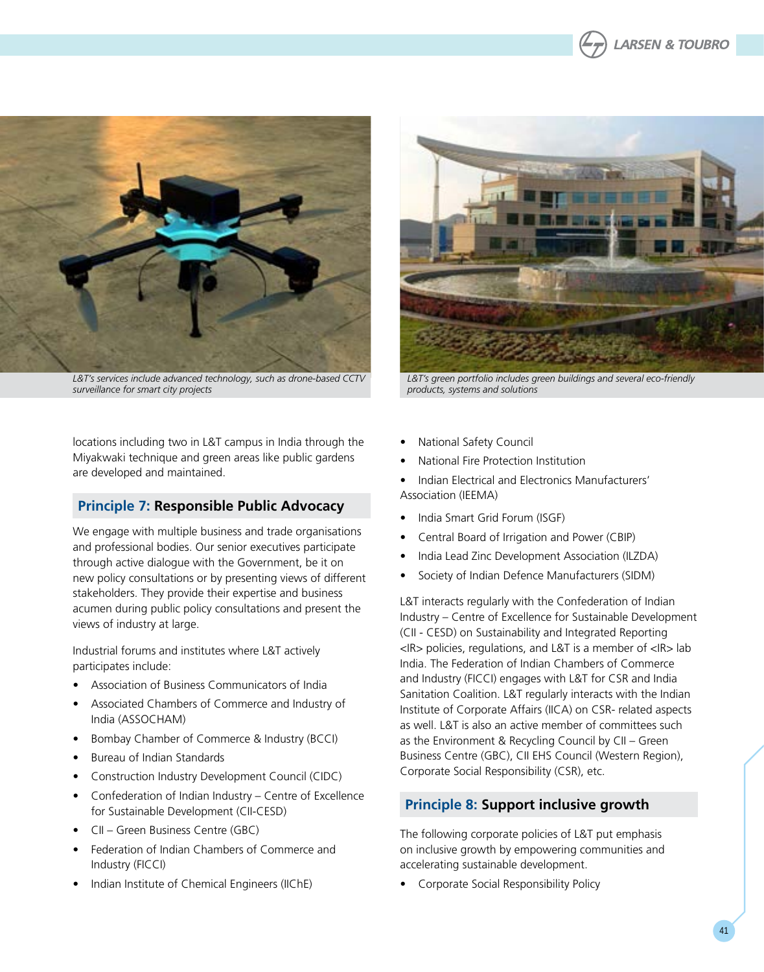



*L&T's services include advanced technology, such as drone-based CCTV surveillance for smart city projects*

locations including two in L&T campus in India through the Miyakwaki technique and green areas like public gardens are developed and maintained.

# **Principle 7: Responsible Public Advocacy**

We engage with multiple business and trade organisations and professional bodies. Our senior executives participate through active dialogue with the Government, be it on new policy consultations or by presenting views of different stakeholders. They provide their expertise and business acumen during public policy consultations and present the views of industry at large.

Industrial forums and institutes where L&T actively participates include:

- • Association of Business Communicators of India
- Associated Chambers of Commerce and Industry of India (ASSOCHAM)
- Bombay Chamber of Commerce & Industry (BCCI)
- Bureau of Indian Standards
- Construction Industry Development Council (CIDC)
- Confederation of Indian Industry Centre of Excellence for Sustainable Development (CII-CESD)
- CII Green Business Centre (GBC)
- Federation of Indian Chambers of Commerce and Industry (FICCI)
- Indian Institute of Chemical Engineers (IIChE)



*L&T's green portfolio includes green buildings and several eco-friendly products, systems and solutions*

- **National Safety Council**
- **National Fire Protection Institution**
- Indian Electrical and Electronics Manufacturers' Association (IEEMA)
- India Smart Grid Forum (ISGF)
- Central Board of Irrigation and Power (CBIP)
- India Lead Zinc Development Association (ILZDA)
- Society of Indian Defence Manufacturers (SIDM)

L&T interacts regularly with the Confederation of Indian Industry – Centre of Excellence for Sustainable Development (CII - CESD) on Sustainability and Integrated Reporting <IR> policies, regulations, and L&T is a member of <IR> lab India. The Federation of Indian Chambers of Commerce and Industry (FICCI) engages with L&T for CSR and India Sanitation Coalition. L&T regularly interacts with the Indian Institute of Corporate Affairs (IICA) on CSR- related aspects as well. L&T is also an active member of committees such as the Environment & Recycling Council by CII – Green Business Centre (GBC), CII EHS Council (Western Region), Corporate Social Responsibility (CSR), etc.

# **Principle 8: Support inclusive growth**

The following corporate policies of L&T put emphasis on inclusive growth by empowering communities and accelerating sustainable development.

**Corporate Social Responsibility Policy**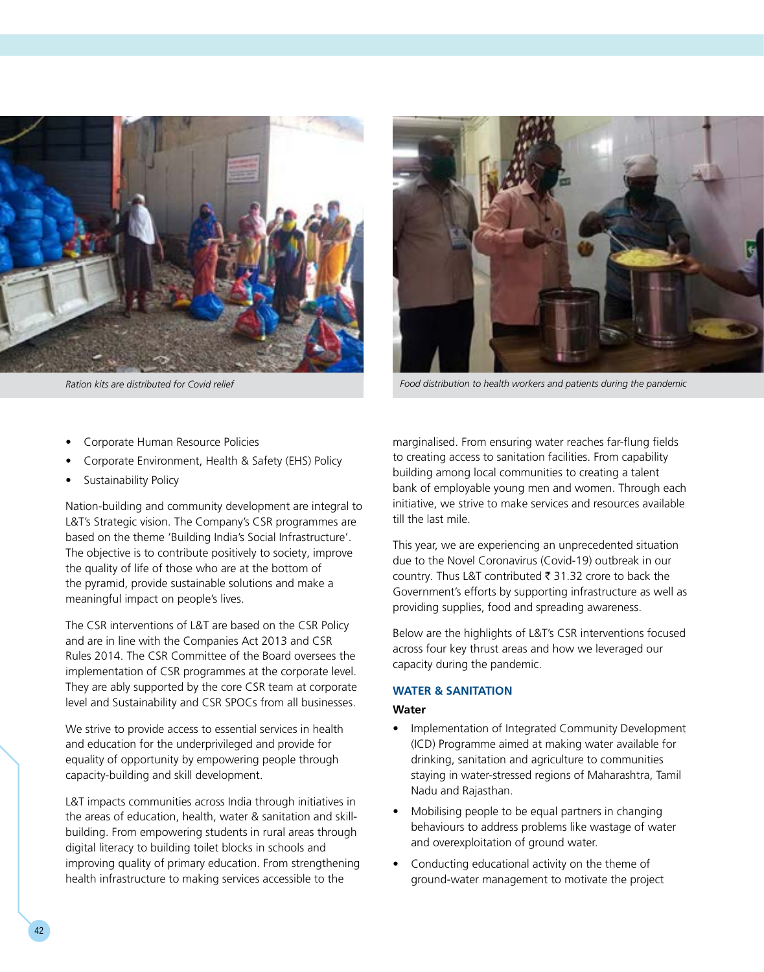



*Ration kits are distributed for Covid relief Food distribution to health workers and patients during the pandemic*

- Corporate Human Resource Policies
- Corporate Environment, Health & Safety (EHS) Policy
- Sustainability Policy

Nation-building and community development are integral to L&T's Strategic vision. The Company's CSR programmes are based on the theme 'Building India's Social Infrastructure'. The objective is to contribute positively to society, improve the quality of life of those who are at the bottom of the pyramid, provide sustainable solutions and make a meaningful impact on people's lives.

The CSR interventions of L&T are based on the CSR Policy and are in line with the Companies Act 2013 and CSR Rules 2014. The CSR Committee of the Board oversees the implementation of CSR programmes at the corporate level. They are ably supported by the core CSR team at corporate level and Sustainability and CSR SPOCs from all businesses.

We strive to provide access to essential services in health and education for the underprivileged and provide for equality of opportunity by empowering people through capacity-building and skill development.

L&T impacts communities across India through initiatives in the areas of education, health, water & sanitation and skillbuilding. From empowering students in rural areas through digital literacy to building toilet blocks in schools and improving quality of primary education. From strengthening health infrastructure to making services accessible to the

marginalised. From ensuring water reaches far-flung fields to creating access to sanitation facilities. From capability building among local communities to creating a talent bank of employable young men and women. Through each initiative, we strive to make services and resources available till the last mile.

This year, we are experiencing an unprecedented situation due to the Novel Coronavirus (Covid-19) outbreak in our country. Thus L&T contributed  $\bar{\tau}$  31.32 crore to back the Government's efforts by supporting infrastructure as well as providing supplies, food and spreading awareness.

Below are the highlights of L&T's CSR interventions focused across four key thrust areas and how we leveraged our capacity during the pandemic.

### **WATER & SANITATION**

### **Water**

- Implementation of Integrated Community Development (ICD) Programme aimed at making water available for drinking, sanitation and agriculture to communities staying in water-stressed regions of Maharashtra, Tamil Nadu and Rajasthan.
- Mobilising people to be equal partners in changing behaviours to address problems like wastage of water and overexploitation of ground water.
- Conducting educational activity on the theme of ground-water management to motivate the project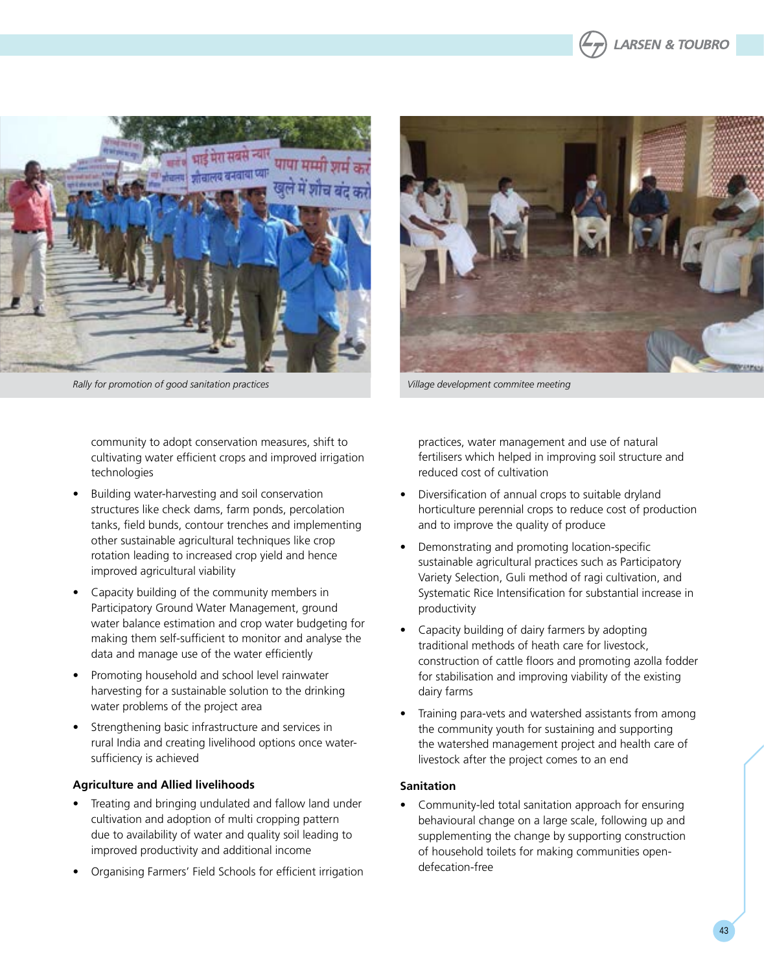



*Rally for promotion of good sanitation practices Village development commitee meeting*



community to adopt conservation measures, shift to cultivating water efficient crops and improved irrigation technologies

- Building water-harvesting and soil conservation structures like check dams, farm ponds, percolation tanks, field bunds, contour trenches and implementing other sustainable agricultural techniques like crop rotation leading to increased crop yield and hence improved agricultural viability
- Capacity building of the community members in Participatory Ground Water Management, ground water balance estimation and crop water budgeting for making them self-sufficient to monitor and analyse the data and manage use of the water efficiently
- Promoting household and school level rainwater harvesting for a sustainable solution to the drinking water problems of the project area
- Strengthening basic infrastructure and services in rural India and creating livelihood options once watersufficiency is achieved

### **Agriculture and Allied livelihoods**

- Treating and bringing undulated and fallow land under cultivation and adoption of multi cropping pattern due to availability of water and quality soil leading to improved productivity and additional income
- Organising Farmers' Field Schools for efficient irrigation

practices, water management and use of natural fertilisers which helped in improving soil structure and reduced cost of cultivation

- Diversification of annual crops to suitable dryland horticulture perennial crops to reduce cost of production and to improve the quality of produce
- Demonstrating and promoting location-specific sustainable agricultural practices such as Participatory Variety Selection, Guli method of ragi cultivation, and Systematic Rice Intensification for substantial increase in productivity
- Capacity building of dairy farmers by adopting traditional methods of heath care for livestock, construction of cattle floors and promoting azolla fodder for stabilisation and improving viability of the existing dairy farms
- Training para-vets and watershed assistants from among the community youth for sustaining and supporting the watershed management project and health care of livestock after the project comes to an end

### **Sanitation**

Community-led total sanitation approach for ensuring behavioural change on a large scale, following up and supplementing the change by supporting construction of household toilets for making communities opendefecation-free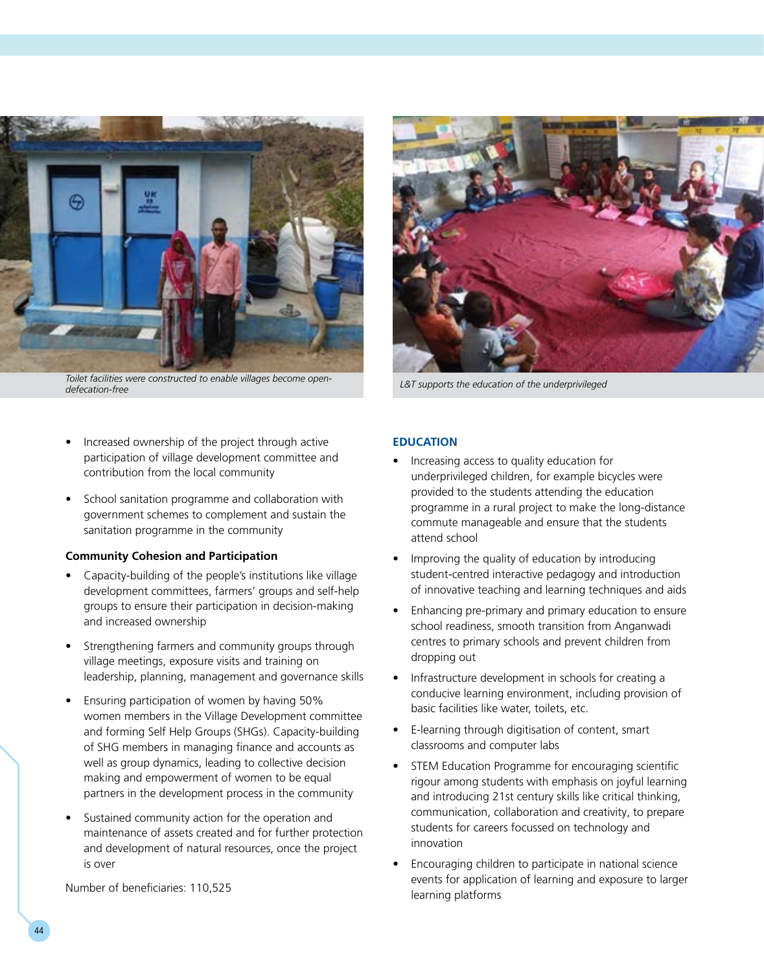

*Toilet facilities were constructed to enable villages become open-*

- Increased ownership of the project through active participation of village development committee and contribution from the local community
- School sanitation programme and collaboration with government schemes to complement and sustain the sanitation programme in the community

### **Community Cohesion and Participation**

- Capacity-building of the people's institutions like village development committees, farmers' groups and self-help groups to ensure their participation in decision-making and increased ownership
- Strengthening farmers and community groups through village meetings, exposure visits and training on leadership, planning, management and governance skills
- • Ensuring participation of women by having 50% women members in the Village Development committee and forming Self Help Groups (SHGs). Capacity-building of SHG members in managing finance and accounts as well as group dynamics, leading to collective decision making and empowerment of women to be equal partners in the development process in the community
- Sustained community action for the operation and maintenance of assets created and for further protection and development of natural resources, once the project is over

Number of beneficiaries: 110,525



*defecation-free L&T supports the education of the underprivileged*

#### **EDUCATION**

- Increasing access to quality education for underprivileged children, for example bicycles were provided to the students attending the education programme in a rural project to make the long-distance commute manageable and ensure that the students attend school
- Improving the quality of education by introducing student-centred interactive pedagogy and introduction of innovative teaching and learning techniques and aids
- Enhancing pre-primary and primary education to ensure school readiness, smooth transition from Anganwadi centres to primary schools and prevent children from dropping out
- Infrastructure development in schools for creating a conducive learning environment, including provision of basic facilities like water, toilets, etc.
- • E-learning through digitisation of content, smart classrooms and computer labs
- STEM Education Programme for encouraging scientific rigour among students with emphasis on joyful learning and introducing 21st century skills like critical thinking, communication, collaboration and creativity, to prepare students for careers focussed on technology and innovation
- Encouraging children to participate in national science events for application of learning and exposure to larger learning platforms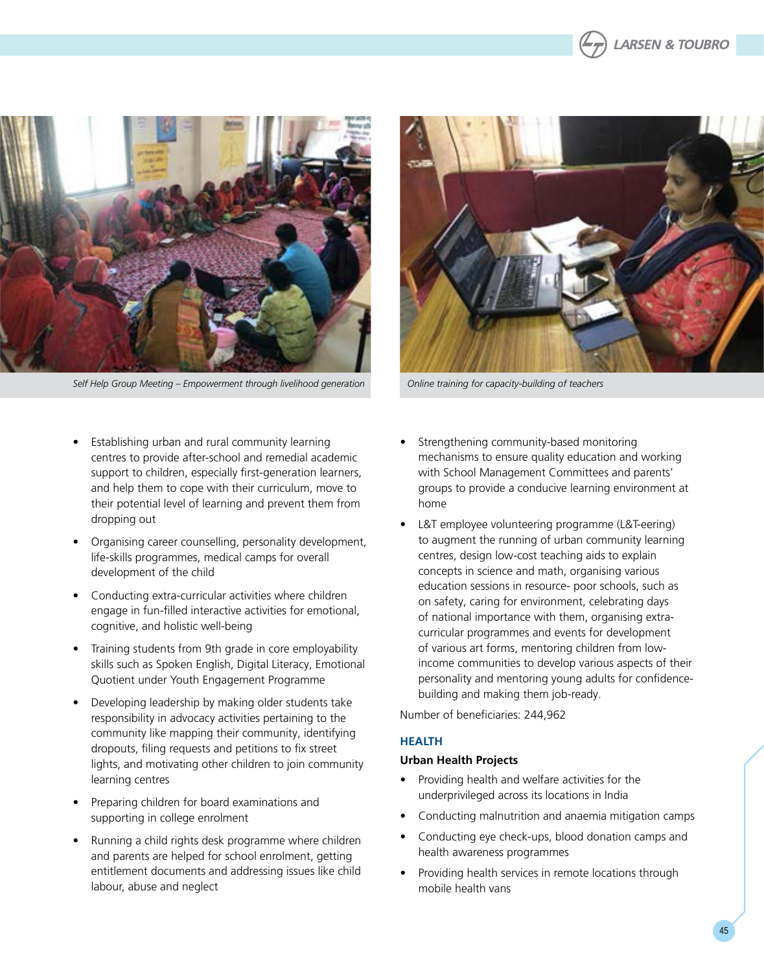



*Self Help Group Meeting – Empowerment through livelihood generation Online training for capacity-building of teachers*

- Establishing urban and rural community learning centres to provide after-school and remedial academic support to children, especially first-generation learners, and help them to cope with their curriculum, move to their potential level of learning and prevent them from dropping out
- • Organising career counselling, personality development, life-skills programmes, medical camps for overall development of the child
- Conducting extra-curricular activities where children engage in fun-filled interactive activities for emotional, cognitive, and holistic well-being
- Training students from 9th grade in core employability skills such as Spoken English, Digital Literacy, Emotional Quotient under Youth Engagement Programme
- Developing leadership by making older students take responsibility in advocacy activities pertaining to the community like mapping their community, identifying dropouts, filing requests and petitions to fix street lights, and motivating other children to join community learning centres
- • Preparing children for board examinations and supporting in college enrolment
- Running a child rights desk programme where children and parents are helped for school enrolment, getting entitlement documents and addressing issues like child labour, abuse and neglect
- Strengthening community-based monitoring mechanisms to ensure quality education and working with School Management Committees and parents' groups to provide a conducive learning environment at home
- L&T employee volunteering programme (L&T-eering) to augment the running of urban community learning centres, design low-cost teaching aids to explain concepts in science and math, organising various education sessions in resource- poor schools, such as on safety, caring for environment, celebrating days of national importance with them, organising extracurricular programmes and events for development of various art forms, mentoring children from lowincome communities to develop various aspects of their personality and mentoring young adults for confidencebuilding and making them job-ready.

Number of beneficiaries: 244,962

### **HEALT H**

#### **Urban Health Projects**

- Providing health and welfare activities for the underprivileged across its locations in India
- Conducting malnutrition and anaemia mitigation camps
- Conducting eye check-ups, blood donation camps and health awareness programmes
- Providing health services in remote locations through mobile health vans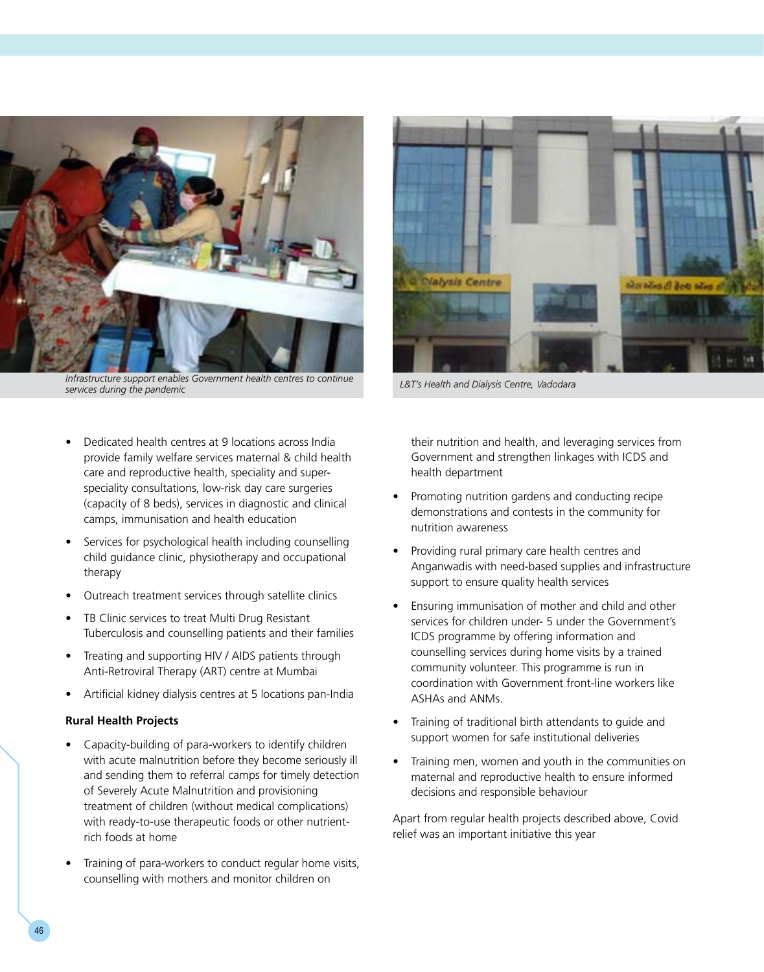

*Infrastructure support enables Government health centres to continue* 

- Dedicated health centres at 9 locations across India provide family welfare services maternal & child health care and reproductive health, speciality and superspeciality consultations, low-risk day care surgeries (capacity of 8 beds), services in diagnostic and clinical camps, immunisation and health education
- Services for psychological health including counselling child guidance clinic, physiotherapy and occupational therapy
- Outreach treatment services through satellite clinics
- TB Clinic services to treat Multi Drug Resistant Tuberculosis and counselling patients and their families
- Treating and supporting HIV / AIDS patients through Anti-Retroviral Therapy (ART) centre at Mumbai
- Artificial kidney dialysis centres at 5 locations pan-India

#### **Rural Health Projects**

- Capacity-building of para-workers to identify children with acute malnutrition before they become seriously ill and sending them to referral camps for timely detection of Severely Acute Malnutrition and provisioning treatment of children (without medical complications) with ready-to-use therapeutic foods or other nutrientrich foods at home
- Training of para-workers to conduct regular home visits, counselling with mothers and monitor children on



*services during the pandemic L&T's Health and Dialysis Centre, Vadodara*

their nutrition and health, and leveraging services from Government and strengthen linkages with ICDS and health department

- Promoting nutrition gardens and conducting recipe demonstrations and contests in the community for nutrition awareness
- Providing rural primary care health centres and Anganwadis with need-based supplies and infrastructure support to ensure quality health services
- Ensuring immunisation of mother and child and other services for children under- 5 under the Government's ICDS programme by offering information and counselling services during home visits by a trained community volunteer. This programme is run in coordination with Government front-line workers like ASHAs and ANMs.
- Training of traditional birth attendants to quide and support women for safe institutional deliveries
- Training men, women and youth in the communities on maternal and reproductive health to ensure informed decisions and responsible behaviour

Apart from regular health projects described above, Covid relief was an important initiative this year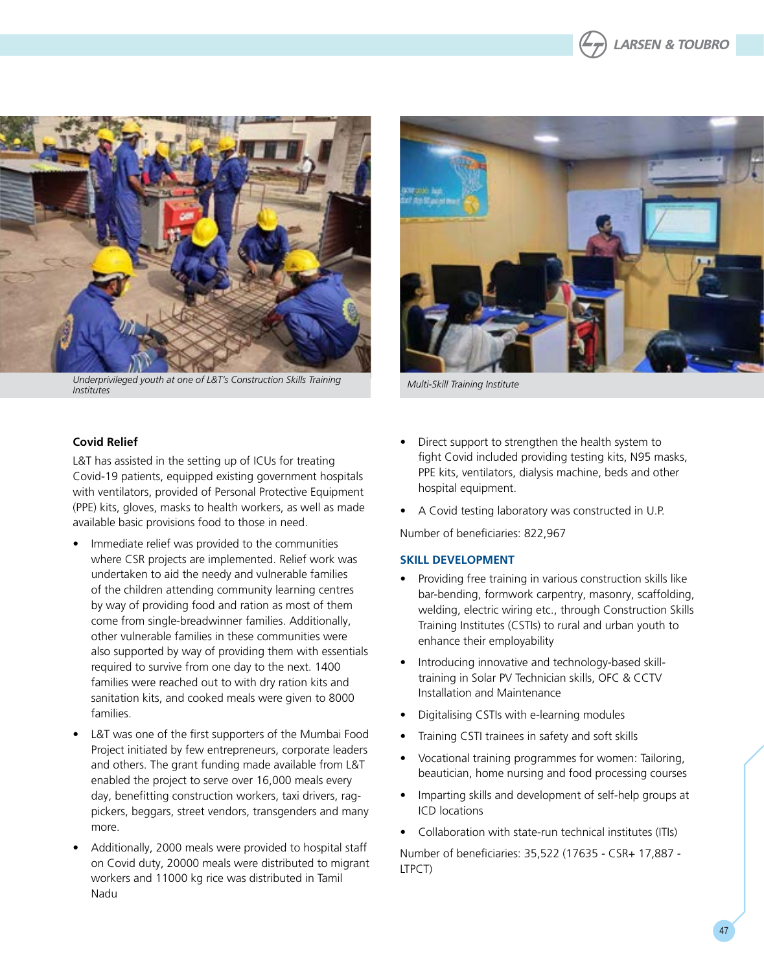



*Underprivileged youth at one of L&T's Construction Skills Training Institutes Multi-Skill Training Institute*



### **Covid Relief**

L&T has assisted in the setting up of ICUs for treating Covid-19 patients, equipped existing government hospitals with ventilators, provided of Personal Protective Equipment (PPE) kits, gloves, masks to health workers, as well as made available basic provisions food to those in need.

- Immediate relief was provided to the communities where CSR projects are implemented. Relief work was undertaken to aid the needy and vulnerable families of the children attending community learning centres by way of providing food and ration as most of them come from single-breadwinner families. Additionally, other vulnerable families in these communities were also supported by way of providing them with essentials required to survive from one day to the next. 1400 families were reached out to with dry ration kits and sanitation kits, and cooked meals were given to 8000 families.
- • L&T was one of the first supporters of the Mumbai Food Project initiated by few entrepreneurs, corporate leaders and others. The grant funding made available from L&T enabled the project to serve over 16,000 meals every day, benefitting construction workers, taxi drivers, ragpickers, beggars, street vendors, transgenders and many more.
- Additionally, 2000 meals were provided to hospital staff on Covid duty, 20000 meals were distributed to migrant workers and 11000 kg rice was distributed in Tamil Nadu
- Direct support to strengthen the health system to fight Covid included providing testing kits, N95 masks, PPE kits, ventilators, dialysis machine, beds and other hospital equipment.
- A Covid testing laboratory was constructed in U.P.

Number of beneficiaries: 822,967

#### **SKILL DEVELOPMENT**

- Providing free training in various construction skills like bar-bending, formwork carpentry, masonry, scaffolding, welding, electric wiring etc., through Construction Skills Training Institutes (CSTIs) to rural and urban youth to enhance their employability
- Introducing innovative and technology-based skilltraining in Solar PV Technician skills, OFC & CCTV Installation and Maintenance
- Digitalising CSTIs with e-learning modules
- Training CSTI trainees in safety and soft skills
- Vocational training programmes for women: Tailoring, beautician, home nursing and food processing courses
- Imparting skills and development of self-help groups at ICD locations
- Collaboration with state-run technical institutes (ITIs)

Number of beneficiaries: 35,522 (17635 - CSR+ 17,887 - LTPCT)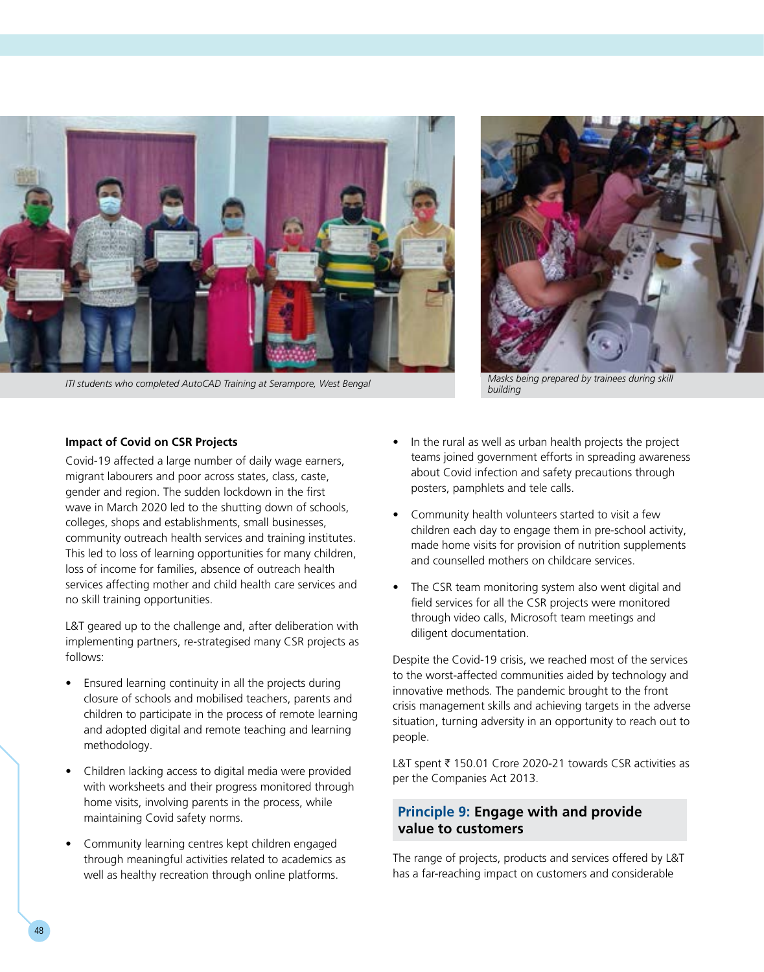

*ITI students who completed AutoCAD Training at Serampore, West Bengal Masks being prepared by trainees during skill* 



*building*

#### **Impact of Covid on CSR Projects**

Covid-19 affected a large number of daily wage earners, migrant labourers and poor across states, class, caste, gender and region. The sudden lockdown in the first wave in March 2020 led to the shutting down of schools, colleges, shops and establishments, small businesses, community outreach health services and training institutes. This led to loss of learning opportunities for many children, loss of income for families, absence of outreach health services affecting mother and child health care services and no skill training opportunities.

L&T geared up to the challenge and, after deliberation with implementing partners, re-strategised many CSR projects as follows:

- Ensured learning continuity in all the projects during closure of schools and mobilised teachers, parents and children to participate in the process of remote learning and adopted digital and remote teaching and learning methodology.
- Children lacking access to digital media were provided with worksheets and their progress monitored through home visits, involving parents in the process, while maintaining Covid safety norms.
- • Community learning centres kept children engaged through meaningful activities related to academics as well as healthy recreation through online platforms.
- In the rural as well as urban health projects the project teams joined government efforts in spreading awareness about Covid infection and safety precautions through posters, pamphlets and tele calls.
- Community health volunteers started to visit a few children each day to engage them in pre-school activity, made home visits for provision of nutrition supplements and counselled mothers on childcare services.
- The CSR team monitoring system also went digital and field services for all the CSR projects were monitored through video calls, Microsoft team meetings and diligent documentation.

Despite the Covid-19 crisis, we reached most of the services to the worst-affected communities aided by technology and innovative methods. The pandemic brought to the front crisis management skills and achieving targets in the adverse situation, turning adversity in an opportunity to reach out to people.

L&T spent ₹ 150.01 Crore 2020-21 towards CSR activities as per the Companies Act 2013.

# **Principle 9: Engage with and provide value to customers**

The range of projects, products and services offered by L&T has a far-reaching impact on customers and considerable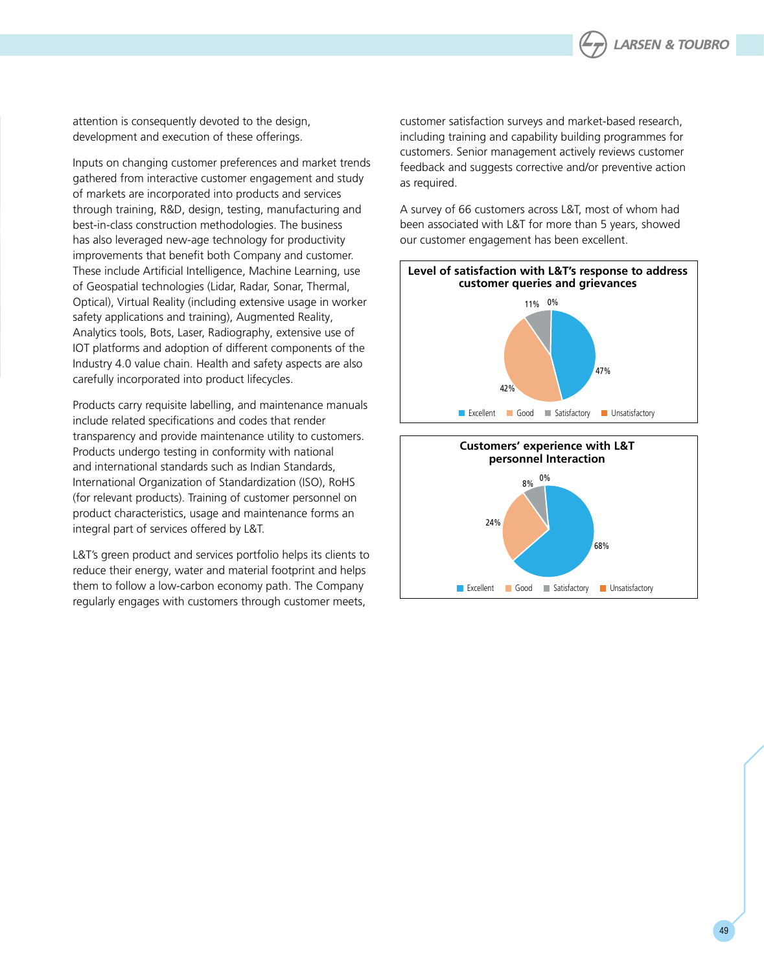

attention is consequently devoted to the design, development and execution of these offerings.

Inputs on changing customer preferences and market trends gathered from interactive customer engagement and study of markets are incorporated into products and services through training, R&D, design, testing, manufacturing and best-in-class construction methodologies. The business has also leveraged new-age technology for productivity improvements that benefit both Company and customer. These include Artificial Intelligence, Machine Learning, use of Geospatial technologies (Lidar, Radar, Sonar, Thermal, Optical), Virtual Reality (including extensive usage in worker safety applications and training), Augmented Reality, Analytics tools, Bots, Laser, Radiography, extensive use of IOT platforms and adoption of different components of the Industry 4.0 value chain. Health and safety aspects are also carefully incorporated into product lifecycles.

Products carry requisite labelling, and maintenance manuals include related specifications and codes that render transparency and provide maintenance utility to customers. Products undergo testing in conformity with national and international standards such as Indian Standards, International Organization of Standardization (ISO), RoHS (for relevant products). Training of customer personnel on product characteristics, usage and maintenance forms an integral part of services offered by L&T.

L&T's green product and services portfolio helps its clients to reduce their energy, water and material footprint and helps them to follow a low-carbon economy path. The Company regularly engages with customers through customer meets,

customer satisfaction surveys and market-based research, including training and capability building programmes for customers. Senior management actively reviews customer feedback and suggests corrective and/or preventive action as required.

A survey of 66 customers across L&T, most of whom had been associated with L&T for more than 5 years, showed our customer engagement has been excellent.



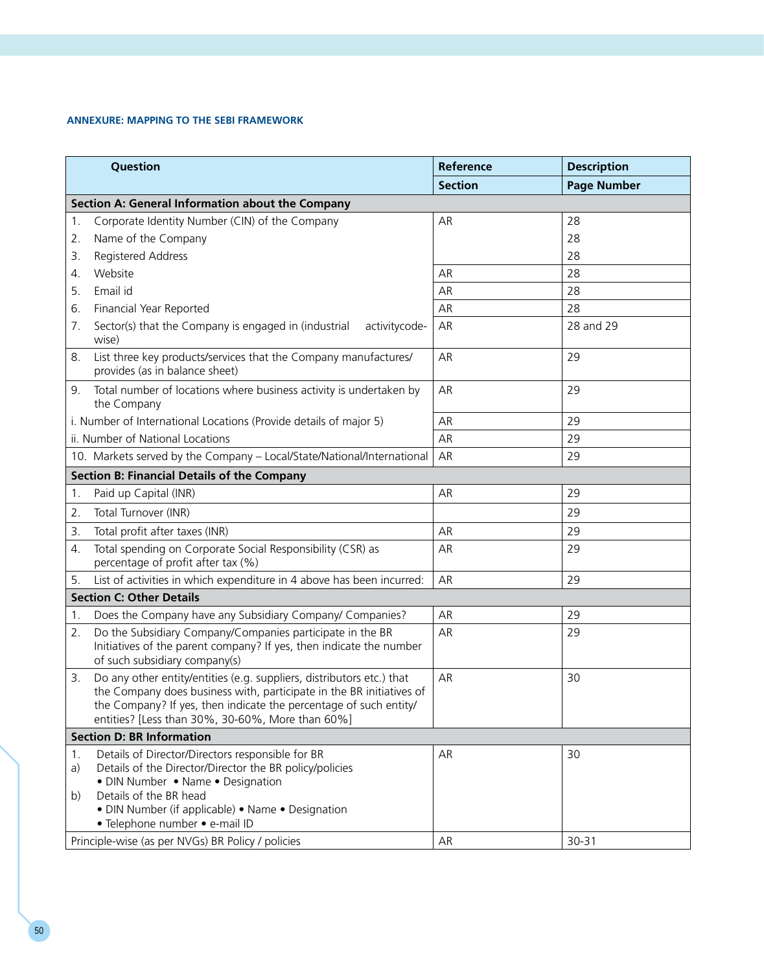### **ANNEXURE: MAPPING TO THE SEBI FRAMEWORK**

| Question                                                                                                                                                                                                                                                                            | Reference      | <b>Description</b> |
|-------------------------------------------------------------------------------------------------------------------------------------------------------------------------------------------------------------------------------------------------------------------------------------|----------------|--------------------|
|                                                                                                                                                                                                                                                                                     | <b>Section</b> | <b>Page Number</b> |
| Section A: General Information about the Company                                                                                                                                                                                                                                    |                |                    |
| Corporate Identity Number (CIN) of the Company<br>1.                                                                                                                                                                                                                                | AR             | 28                 |
| Name of the Company<br>2.                                                                                                                                                                                                                                                           |                | 28                 |
| Registered Address<br>3.                                                                                                                                                                                                                                                            |                | 28                 |
| Website<br>4.                                                                                                                                                                                                                                                                       | AR             | 28                 |
| Email id<br>5.                                                                                                                                                                                                                                                                      | AR             | 28                 |
| Financial Year Reported<br>6.                                                                                                                                                                                                                                                       | AR             | 28                 |
| Sector(s) that the Company is engaged in (industrial<br>activitycode-<br>7.<br>wise)                                                                                                                                                                                                | AR             | 28 and 29          |
| List three key products/services that the Company manufactures/<br>8.<br>provides (as in balance sheet)                                                                                                                                                                             | AR             | 29                 |
| Total number of locations where business activity is undertaken by<br>9.<br>the Company                                                                                                                                                                                             | AR             | 29                 |
| i. Number of International Locations (Provide details of major 5)                                                                                                                                                                                                                   | AR             | 29                 |
| ii. Number of National Locations                                                                                                                                                                                                                                                    | AR             | 29                 |
| 10. Markets served by the Company - Local/State/National/International                                                                                                                                                                                                              | AR             | 29                 |
| <b>Section B: Financial Details of the Company</b>                                                                                                                                                                                                                                  |                |                    |
| Paid up Capital (INR)<br>1.                                                                                                                                                                                                                                                         | AR             | 29                 |
| Total Turnover (INR)<br>2.                                                                                                                                                                                                                                                          |                | 29                 |
| 3.<br>Total profit after taxes (INR)                                                                                                                                                                                                                                                | AR             | 29                 |
| $\overline{4}$ .<br>Total spending on Corporate Social Responsibility (CSR) as<br>percentage of profit after tax (%)                                                                                                                                                                | AR             | 29                 |
| List of activities in which expenditure in 4 above has been incurred:<br>5.                                                                                                                                                                                                         | AR             | 29                 |
| <b>Section C: Other Details</b>                                                                                                                                                                                                                                                     |                |                    |
| Does the Company have any Subsidiary Company/ Companies?<br>1.                                                                                                                                                                                                                      | AR             | 29                 |
| Do the Subsidiary Company/Companies participate in the BR<br>2.<br>Initiatives of the parent company? If yes, then indicate the number<br>of such subsidiary company(s)                                                                                                             | AR             | 29                 |
| Do any other entity/entities (e.g. suppliers, distributors etc.) that<br>3.<br>the Company does business with, participate in the BR initiatives of<br>the Company? If yes, then indicate the percentage of such entity/<br>entities? [Less than 30%, 30-60%, More than 60%]        | AR             | 30                 |
| <b>Section D: BR Information</b>                                                                                                                                                                                                                                                    |                |                    |
| Details of Director/Directors responsible for BR<br>1.<br>Details of the Director/Director the BR policy/policies<br>a)<br>• DIN Number • Name • Designation<br>Details of the BR head<br>b)<br>· DIN Number (if applicable) • Name • Designation<br>· Telephone number · e-mail ID | AR             | 30                 |
| Principle-wise (as per NVGs) BR Policy / policies                                                                                                                                                                                                                                   | AR             | 30-31              |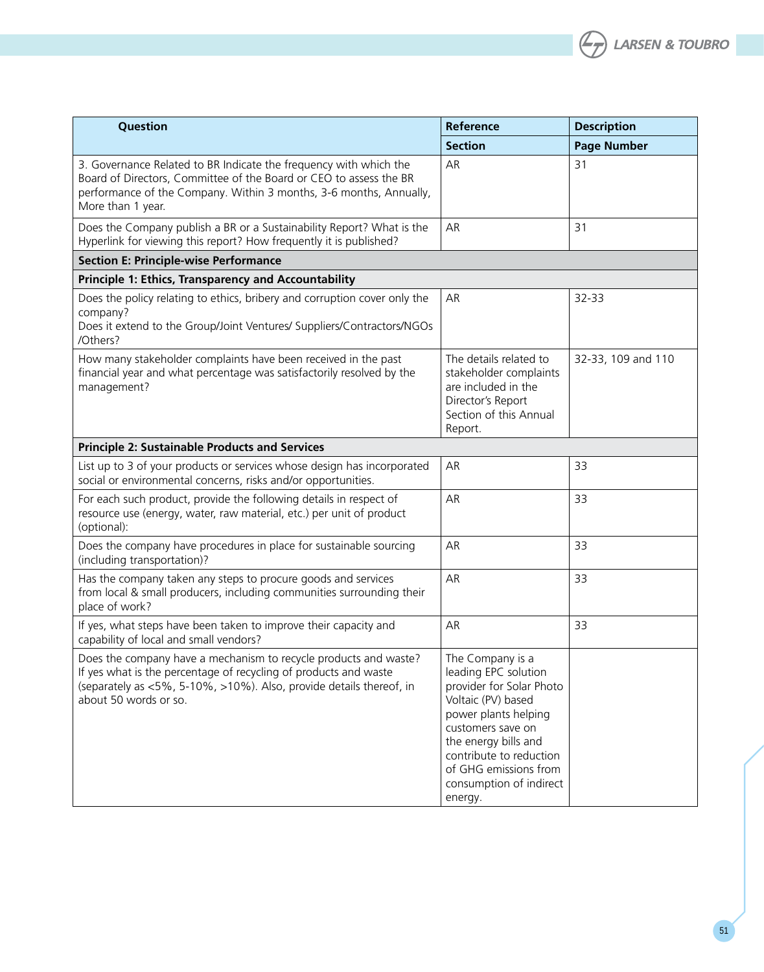

| Question                                                                                                                                                                                                                             | Reference                                                                                                                                                                                                                                                 | <b>Description</b> |
|--------------------------------------------------------------------------------------------------------------------------------------------------------------------------------------------------------------------------------------|-----------------------------------------------------------------------------------------------------------------------------------------------------------------------------------------------------------------------------------------------------------|--------------------|
|                                                                                                                                                                                                                                      | <b>Section</b>                                                                                                                                                                                                                                            | <b>Page Number</b> |
| 3. Governance Related to BR Indicate the frequency with which the<br>Board of Directors, Committee of the Board or CEO to assess the BR<br>performance of the Company. Within 3 months, 3-6 months, Annually,<br>More than 1 year.   | AR                                                                                                                                                                                                                                                        | 31                 |
| Does the Company publish a BR or a Sustainability Report? What is the<br>Hyperlink for viewing this report? How frequently it is published?                                                                                          | AR                                                                                                                                                                                                                                                        | 31                 |
| <b>Section E: Principle-wise Performance</b>                                                                                                                                                                                         |                                                                                                                                                                                                                                                           |                    |
| Principle 1: Ethics, Transparency and Accountability                                                                                                                                                                                 |                                                                                                                                                                                                                                                           |                    |
| Does the policy relating to ethics, bribery and corruption cover only the<br>company?<br>Does it extend to the Group/Joint Ventures/ Suppliers/Contractors/NGOs<br>/Others?                                                          | AR                                                                                                                                                                                                                                                        | 32-33              |
| How many stakeholder complaints have been received in the past<br>financial year and what percentage was satisfactorily resolved by the<br>management?                                                                               | The details related to<br>stakeholder complaints<br>are included in the<br>Director's Report<br>Section of this Annual<br>Report.                                                                                                                         | 32-33, 109 and 110 |
| <b>Principle 2: Sustainable Products and Services</b>                                                                                                                                                                                |                                                                                                                                                                                                                                                           |                    |
| List up to 3 of your products or services whose design has incorporated<br>social or environmental concerns, risks and/or opportunities.                                                                                             | AR                                                                                                                                                                                                                                                        | 33                 |
| For each such product, provide the following details in respect of<br>resource use (energy, water, raw material, etc.) per unit of product<br>(optional):                                                                            | AR                                                                                                                                                                                                                                                        | 33                 |
| Does the company have procedures in place for sustainable sourcing<br>(including transportation)?                                                                                                                                    | AR                                                                                                                                                                                                                                                        | 33                 |
| Has the company taken any steps to procure goods and services<br>from local & small producers, including communities surrounding their<br>place of work?                                                                             | AR                                                                                                                                                                                                                                                        | 33                 |
| If yes, what steps have been taken to improve their capacity and<br>capability of local and small vendors?                                                                                                                           | AR                                                                                                                                                                                                                                                        | 33                 |
| Does the company have a mechanism to recycle products and waste?<br>If yes what is the percentage of recycling of products and waste<br>(separately as <5%, 5-10%, >10%). Also, provide details thereof, in<br>about 50 words or so. | The Company is a<br>leading EPC solution<br>provider for Solar Photo<br>Voltaic (PV) based<br>power plants helping<br>customers save on<br>the energy bills and<br>contribute to reduction<br>of GHG emissions from<br>consumption of indirect<br>energy. |                    |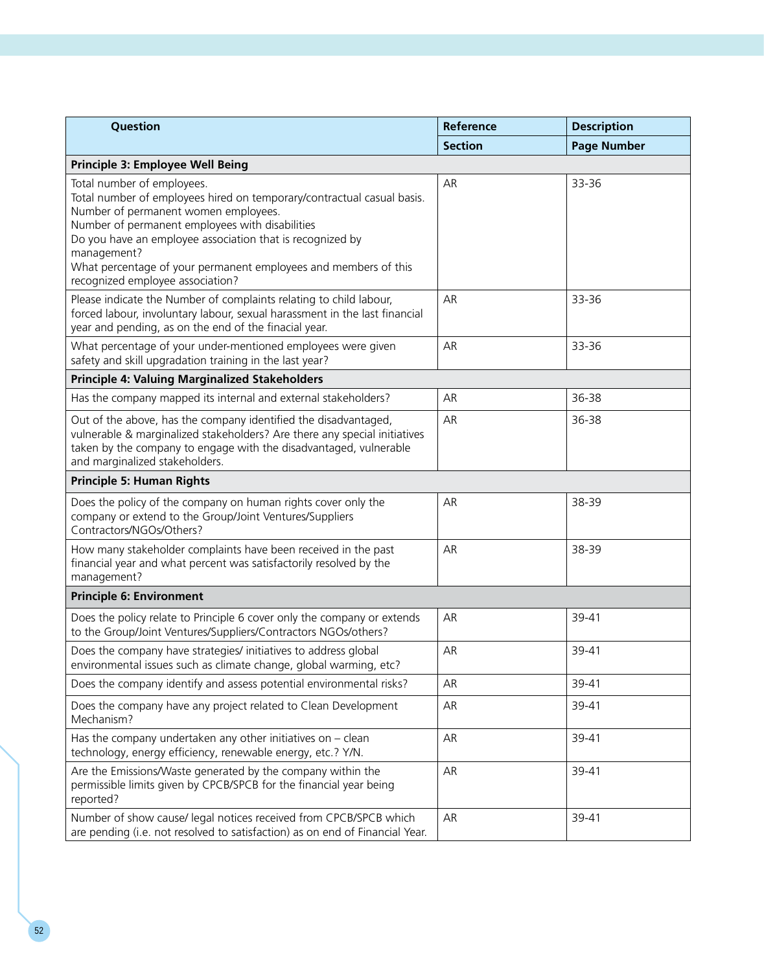| Question                                                                                                                                                                                                                                                                                                                                                                           | Reference      | <b>Description</b> |  |
|------------------------------------------------------------------------------------------------------------------------------------------------------------------------------------------------------------------------------------------------------------------------------------------------------------------------------------------------------------------------------------|----------------|--------------------|--|
|                                                                                                                                                                                                                                                                                                                                                                                    | <b>Section</b> | <b>Page Number</b> |  |
| Principle 3: Employee Well Being                                                                                                                                                                                                                                                                                                                                                   |                |                    |  |
| Total number of employees.<br>Total number of employees hired on temporary/contractual casual basis.<br>Number of permanent women employees.<br>Number of permanent employees with disabilities<br>Do you have an employee association that is recognized by<br>management?<br>What percentage of your permanent employees and members of this<br>recognized employee association? | AR             | 33-36              |  |
| Please indicate the Number of complaints relating to child labour,<br>forced labour, involuntary labour, sexual harassment in the last financial<br>year and pending, as on the end of the finacial year.                                                                                                                                                                          | AR             | 33-36              |  |
| What percentage of your under-mentioned employees were given<br>safety and skill upgradation training in the last year?                                                                                                                                                                                                                                                            | AR             | 33-36              |  |
| Principle 4: Valuing Marginalized Stakeholders                                                                                                                                                                                                                                                                                                                                     |                |                    |  |
| Has the company mapped its internal and external stakeholders?                                                                                                                                                                                                                                                                                                                     | AR             | 36-38              |  |
| Out of the above, has the company identified the disadvantaged,<br>vulnerable & marginalized stakeholders? Are there any special initiatives<br>taken by the company to engage with the disadvantaged, vulnerable<br>and marginalized stakeholders.                                                                                                                                | AR             | 36-38              |  |
| <b>Principle 5: Human Rights</b>                                                                                                                                                                                                                                                                                                                                                   |                |                    |  |
| Does the policy of the company on human rights cover only the<br>company or extend to the Group/Joint Ventures/Suppliers<br>Contractors/NGOs/Others?                                                                                                                                                                                                                               | AR             | 38-39              |  |
| How many stakeholder complaints have been received in the past<br>financial year and what percent was satisfactorily resolved by the<br>management?                                                                                                                                                                                                                                | AR             | 38-39              |  |
| <b>Principle 6: Environment</b>                                                                                                                                                                                                                                                                                                                                                    |                |                    |  |
| Does the policy relate to Principle 6 cover only the company or extends<br>to the Group/Joint Ventures/Suppliers/Contractors NGOs/others?                                                                                                                                                                                                                                          | AR             | 39-41              |  |
| Does the company have strategies/ initiatives to address global<br>environmental issues such as climate change, global warming, etc?                                                                                                                                                                                                                                               | AR             | 39-41              |  |
| Does the company identify and assess potential environmental risks?                                                                                                                                                                                                                                                                                                                | AR             | 39-41              |  |
| Does the company have any project related to Clean Development<br>Mechanism?                                                                                                                                                                                                                                                                                                       | AR             | 39-41              |  |
| Has the company undertaken any other initiatives on $-$ clean<br>technology, energy efficiency, renewable energy, etc.? Y/N.                                                                                                                                                                                                                                                       | AR             | 39-41              |  |
| Are the Emissions/Waste generated by the company within the<br>permissible limits given by CPCB/SPCB for the financial year being<br>reported?                                                                                                                                                                                                                                     | AR             | 39-41              |  |
| Number of show cause/ legal notices received from CPCB/SPCB which<br>are pending (i.e. not resolved to satisfaction) as on end of Financial Year.                                                                                                                                                                                                                                  | AR             | 39-41              |  |